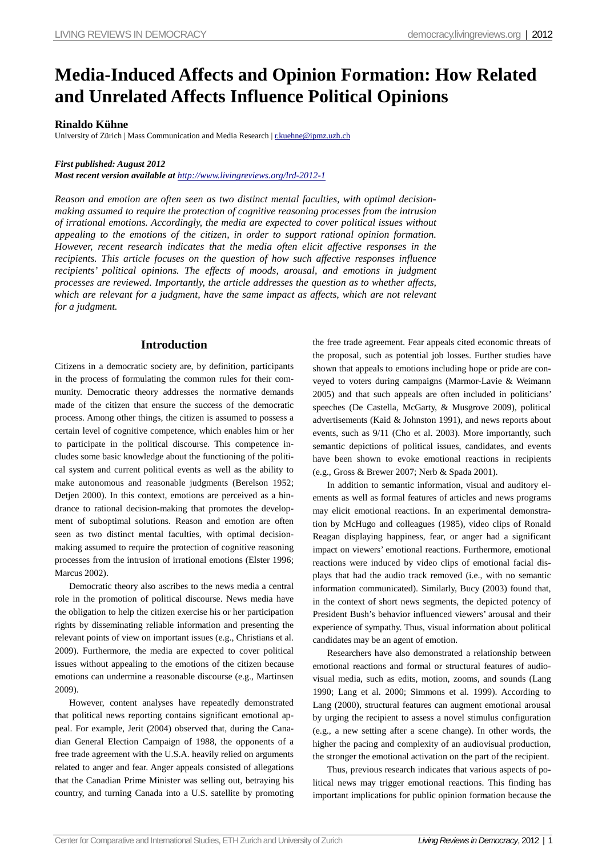# **Media-Induced Affects and Opinion Formation: How Related and Unrelated Affects Influence Political Opinions**

## **Rinaldo Kühne**

University of Zürich | Mass Communication and Media Research | r.kuehne@ipmz.uzh.ch

### *First published: August 2012*

*Most recent version available at http://www.livingreviews.org/lrd-2012-1*

*Reason and emotion are often seen as two distinct mental faculties, with optimal decisionmaking assumed to require the protection of cognitive reasoning processes from the intrusion of irrational emotions. Accordingly, the media are expected to cover political issues without appealing to the emotions of the citizen, in order to support rational opinion formation. However, recent research indicates that the media often elicit affective responses in the recipients. This article focuses on the question of how such affective responses influence recipients' political opinions. The effects of moods, arousal, and emotions in judgment processes are reviewed. Importantly, the article addresses the question as to whether affects,*  which are relevant for a judgment, have the same impact as affects, which are not relevant *for a judgment.*

## **Introduction**

Citizens in a democratic society are, by definition, participants in the process of formulating the common rules for their community. Democratic theory addresses the normative demands made of the citizen that ensure the success of the democratic process. Among other things, the citizen is assumed to possess a certain level of cognitive competence, which enables him or her to participate in the political discourse. This competence includes some basic knowledge about the functioning of the political system and current political events as well as the ability to make autonomous and reasonable judgments (Berelson 1952; Detjen 2000). In this context, emotions are perceived as a hindrance to rational decision-making that promotes the development of suboptimal solutions. Reason and emotion are often seen as two distinct mental faculties, with optimal decisionmaking assumed to require the protection of cognitive reasoning processes from the intrusion of irrational emotions (Elster 1996; Marcus 2002).

Democratic theory also ascribes to the news media a central role in the promotion of political discourse. News media have the obligation to help the citizen exercise his or her participation rights by disseminating reliable information and presenting the relevant points of view on important issues (e.g., Christians et al. 2009). Furthermore, the media are expected to cover political issues without appealing to the emotions of the citizen because emotions can undermine a reasonable discourse (e.g., Martinsen 2009).

However, content analyses have repeatedly demonstrated that political news reporting contains significant emotional appeal. For example, Jerit (2004) observed that, during the Canadian General Election Campaign of 1988, the opponents of a free trade agreement with the U.S.A. heavily relied on arguments related to anger and fear. Anger appeals consisted of allegations that the Canadian Prime Minister was selling out, betraying his country, and turning Canada into a U.S. satellite by promoting the free trade agreement. Fear appeals cited economic threats of the proposal, such as potential job losses. Further studies have shown that appeals to emotions including hope or pride are conveyed to voters during campaigns (Marmor-Lavie & Weimann 2005) and that such appeals are often included in politicians' speeches (De Castella, McGarty, & Musgrove 2009), political advertisements (Kaid & Johnston 1991), and news reports about events, such as 9/11 (Cho et al. 2003). More importantly, such semantic depictions of political issues, candidates, and events have been shown to evoke emotional reactions in recipients (e.g., Gross & Brewer 2007; Nerb & Spada 2001).

In addition to semantic information, visual and auditory elements as well as formal features of articles and news programs may elicit emotional reactions. In an experimental demonstration by McHugo and colleagues (1985), video clips of Ronald Reagan displaying happiness, fear, or anger had a significant impact on viewers' emotional reactions. Furthermore, emotional reactions were induced by video clips of emotional facial displays that had the audio track removed (i.e., with no semantic information communicated). Similarly, Bucy (2003) found that, in the context of short news segments, the depicted potency of President Bush's behavior influenced viewers' arousal and their experience of sympathy. Thus, visual information about political candidates may be an agent of emotion.

Researchers have also demonstrated a relationship between emotional reactions and formal or structural features of audiovisual media, such as edits, motion, zooms, and sounds (Lang 1990; Lang et al. 2000; Simmons et al. 1999). According to Lang (2000), structural features can augment emotional arousal by urging the recipient to assess a novel stimulus configuration (e.g., a new setting after a scene change). In other words, the higher the pacing and complexity of an audiovisual production, the stronger the emotional activation on the part of the recipient.

Thus, previous research indicates that various aspects of political news may trigger emotional reactions. This finding has important implications for public opinion formation because the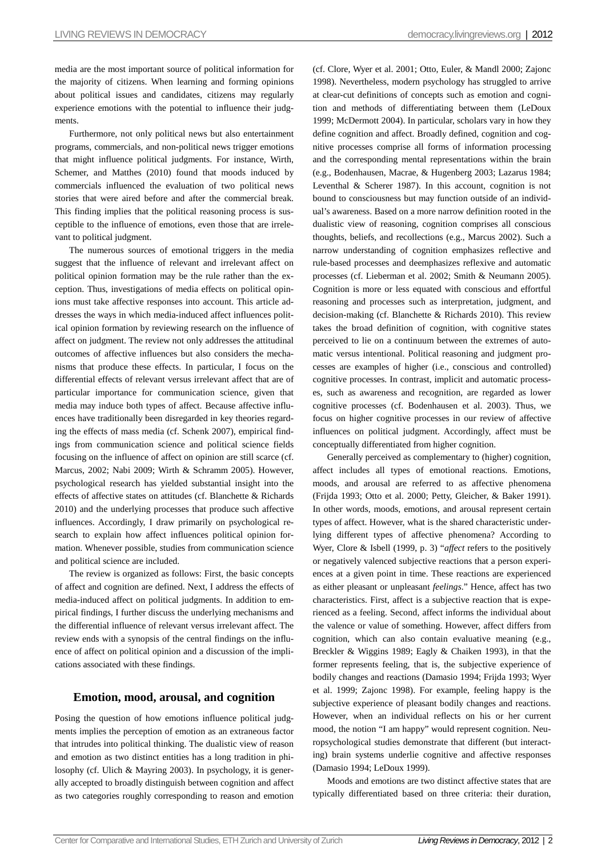media are the most important source of political information for the majority of citizens. When learning and forming opinions about political issues and candidates, citizens may regularly experience emotions with the potential to influence their judgments.

Furthermore, not only political news but also entertainment programs, commercials, and non-political news trigger emotions that might influence political judgments. For instance, Wirth, Schemer, and Matthes (2010) found that moods induced by commercials influenced the evaluation of two political news stories that were aired before and after the commercial break. This finding implies that the political reasoning process is susceptible to the influence of emotions, even those that are irrelevant to political judgment.

The numerous sources of emotional triggers in the media suggest that the influence of relevant and irrelevant affect on political opinion formation may be the rule rather than the exception. Thus, investigations of media effects on political opinions must take affective responses into account. This article addresses the ways in which media-induced affect influences political opinion formation by reviewing research on the influence of affect on judgment. The review not only addresses the attitudinal outcomes of affective influences but also considers the mechanisms that produce these effects. In particular, I focus on the differential effects of relevant versus irrelevant affect that are of particular importance for communication science, given that media may induce both types of affect. Because affective influences have traditionally been disregarded in key theories regarding the effects of mass media (cf. Schenk 2007), empirical findings from communication science and political science fields focusing on the influence of affect on opinion are still scarce (cf. Marcus, 2002; Nabi 2009; Wirth & Schramm 2005). However, psychological research has yielded substantial insight into the effects of affective states on attitudes (cf. Blanchette & Richards 2010) and the underlying processes that produce such affective influences. Accordingly, I draw primarily on psychological research to explain how affect influences political opinion formation. Whenever possible, studies from communication science and political science are included.

The review is organized as follows: First, the basic concepts of affect and cognition are defined. Next, I address the effects of media-induced affect on political judgments. In addition to empirical findings, I further discuss the underlying mechanisms and the differential influence of relevant versus irrelevant affect. The review ends with a synopsis of the central findings on the influence of affect on political opinion and a discussion of the implications associated with these findings.

## **Emotion, mood, arousal, and cognition**

Posing the question of how emotions influence political judgments implies the perception of emotion as an extraneous factor that intrudes into political thinking. The dualistic view of reason and emotion as two distinct entities has a long tradition in philosophy (cf. Ulich & Mayring 2003). In psychology, it is generally accepted to broadly distinguish between cognition and affect as two categories roughly corresponding to reason and emotion

(cf. Clore, Wyer et al. 2001; Otto, Euler, & Mandl 2000; Zajonc 1998). Nevertheless, modern psychology has struggled to arrive at clear-cut definitions of concepts such as emotion and cognition and methods of differentiating between them (LeDoux 1999; McDermott 2004). In particular, scholars vary in how they define cognition and affect. Broadly defined, cognition and cognitive processes comprise all forms of information processing and the corresponding mental representations within the brain (e.g., Bodenhausen, Macrae, & Hugenberg 2003; Lazarus 1984; Leventhal & Scherer 1987). In this account, cognition is not bound to consciousness but may function outside of an individual's awareness. Based on a more narrow definition rooted in the dualistic view of reasoning, cognition comprises all conscious thoughts, beliefs, and recollections (e.g., Marcus 2002). Such a narrow understanding of cognition emphasizes reflective and rule-based processes and deemphasizes reflexive and automatic processes (cf. Lieberman et al. 2002; Smith & Neumann 2005). Cognition is more or less equated with conscious and effortful reasoning and processes such as interpretation, judgment, and decision-making (cf. Blanchette & Richards 2010). This review takes the broad definition of cognition, with cognitive states perceived to lie on a continuum between the extremes of automatic versus intentional. Political reasoning and judgment processes are examples of higher (i.e., conscious and controlled) cognitive processes. In contrast, implicit and automatic processes, such as awareness and recognition, are regarded as lower cognitive processes (cf. Bodenhausen et al. 2003). Thus, we focus on higher cognitive processes in our review of affective influences on political judgment. Accordingly, affect must be conceptually differentiated from higher cognition.

Generally perceived as complementary to (higher) cognition, affect includes all types of emotional reactions. Emotions, moods, and arousal are referred to as affective phenomena (Frijda 1993; Otto et al. 2000; Petty, Gleicher, & Baker 1991). In other words, moods, emotions, and arousal represent certain types of affect. However, what is the shared characteristic underlying different types of affective phenomena? According to Wyer, Clore & Isbell (1999, p. 3) "*affect* refers to the positively or negatively valenced subjective reactions that a person experiences at a given point in time. These reactions are experienced as either pleasant or unpleasant *feelings*." Hence, affect has two characteristics. First, affect is a subjective reaction that is experienced as a feeling. Second, affect informs the individual about the valence or value of something. However, affect differs from cognition, which can also contain evaluative meaning (e.g., Breckler & Wiggins 1989; Eagly & Chaiken 1993), in that the former represents feeling, that is, the subjective experience of bodily changes and reactions (Damasio 1994; Frijda 1993; Wyer et al. 1999; Zajonc 1998). For example, feeling happy is the subjective experience of pleasant bodily changes and reactions. However, when an individual reflects on his or her current mood, the notion "I am happy" would represent cognition. Neuropsychological studies demonstrate that different (but interacting) brain systems underlie cognitive and affective responses (Damasio 1994; LeDoux 1999).

Moods and emotions are two distinct affective states that are typically differentiated based on three criteria: their duration,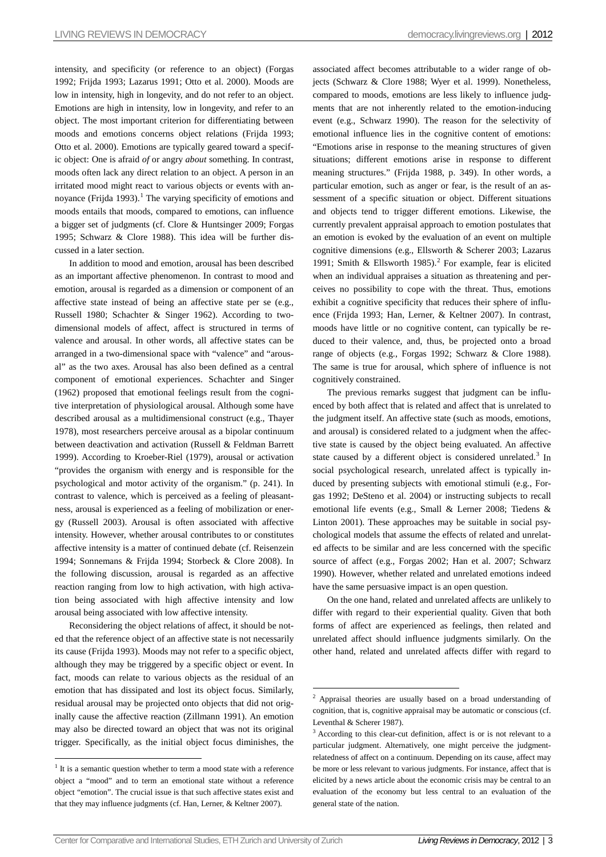intensity, and specificity (or reference to an object) (Forgas 1992; Frijda 1993; Lazarus 1991; Otto et al. 2000). Moods are low in intensity, high in longevity, and do not refer to an object. Emotions are high in intensity, low in longevity, and refer to an object. The most important criterion for differentiating between moods and emotions concerns object relations (Frijda 1993; Otto et al. 2000). Emotions are typically geared toward a specific object: One is afraid *of* or angry *about* something. In contrast, moods often lack any direct relation to an object. A person in an irritated mood might react to various objects or events with an-noyance (Frijda [1](#page-2-0)993).<sup>1</sup> The varying specificity of emotions and moods entails that moods, compared to emotions, can influence a bigger set of judgments (cf. Clore & Huntsinger 2009; Forgas 1995; Schwarz & Clore 1988). This idea will be further discussed in a later section.

In addition to mood and emotion, arousal has been described as an important affective phenomenon. In contrast to mood and emotion, arousal is regarded as a dimension or component of an affective state instead of being an affective state per se (e.g., Russell 1980; Schachter & Singer 1962). According to twodimensional models of affect, affect is structured in terms of valence and arousal. In other words, all affective states can be arranged in a two-dimensional space with "valence" and "arousal" as the two axes. Arousal has also been defined as a central component of emotional experiences. Schachter and Singer (1962) proposed that emotional feelings result from the cognitive interpretation of physiological arousal. Although some have described arousal as a multidimensional construct (e.g., Thayer 1978), most researchers perceive arousal as a bipolar continuum between deactivation and activation (Russell & Feldman Barrett 1999). According to Kroeber-Riel (1979), arousal or activation "provides the organism with energy and is responsible for the psychological and motor activity of the organism." (p. 241). In contrast to valence, which is perceived as a feeling of pleasantness, arousal is experienced as a feeling of mobilization or energy (Russell 2003). Arousal is often associated with affective intensity. However, whether arousal contributes to or constitutes affective intensity is a matter of continued debate (cf. Reisenzein 1994; Sonnemans & Frijda 1994; Storbeck & Clore 2008). In the following discussion, arousal is regarded as an affective reaction ranging from low to high activation, with high activation being associated with high affective intensity and low arousal being associated with low affective intensity.

Reconsidering the object relations of affect, it should be noted that the reference object of an affective state is not necessarily its cause (Frijda 1993). Moods may not refer to a specific object, although they may be triggered by a specific object or event. In fact, moods can relate to various objects as the residual of an emotion that has dissipated and lost its object focus. Similarly, residual arousal may be projected onto objects that did not originally cause the affective reaction (Zillmann 1991). An emotion may also be directed toward an object that was not its original trigger. Specifically, as the initial object focus diminishes, the

associated affect becomes attributable to a wider range of objects (Schwarz & Clore 1988; Wyer et al. 1999). Nonetheless, compared to moods, emotions are less likely to influence judgments that are not inherently related to the emotion-inducing event (e.g., Schwarz 1990). The reason for the selectivity of emotional influence lies in the cognitive content of emotions: "Emotions arise in response to the meaning structures of given situations; different emotions arise in response to different meaning structures." (Frijda 1988, p. 349). In other words, a particular emotion, such as anger or fear, is the result of an assessment of a specific situation or object. Different situations and objects tend to trigger different emotions. Likewise, the currently prevalent appraisal approach to emotion postulates that an emotion is evoked by the evaluation of an event on multiple cognitive dimensions (e.g., Ellsworth & Scherer 2003; Lazarus 1991; Smith & Ellsworth 1985).<sup>[2](#page-2-1)</sup> For example, fear is elicited when an individual appraises a situation as threatening and perceives no possibility to cope with the threat. Thus, emotions exhibit a cognitive specificity that reduces their sphere of influence (Frijda 1993; Han, Lerner, & Keltner 2007). In contrast, moods have little or no cognitive content, can typically be reduced to their valence, and, thus, be projected onto a broad range of objects (e.g., Forgas 1992; Schwarz & Clore 1988). The same is true for arousal, which sphere of influence is not cognitively constrained.

The previous remarks suggest that judgment can be influenced by both affect that is related and affect that is unrelated to the judgment itself. An affective state (such as moods, emotions, and arousal) is considered related to a judgment when the affective state is caused by the object being evaluated. An affective state caused by a different object is considered unrelated.<sup>[3](#page-2-2)</sup> In social psychological research, unrelated affect is typically induced by presenting subjects with emotional stimuli (e.g., Forgas 1992; DeSteno et al. 2004) or instructing subjects to recall emotional life events (e.g., Small & Lerner 2008; Tiedens & Linton 2001). These approaches may be suitable in social psychological models that assume the effects of related and unrelated affects to be similar and are less concerned with the specific source of affect (e.g., Forgas 2002; Han et al. 2007; Schwarz 1990). However, whether related and unrelated emotions indeed have the same persuasive impact is an open question.

On the one hand, related and unrelated affects are unlikely to differ with regard to their experiential quality. Given that both forms of affect are experienced as feelings, then related and unrelated affect should influence judgments similarly. On the other hand, related and unrelated affects differ with regard to

<span id="page-2-2"></span><span id="page-2-1"></span><span id="page-2-0"></span> $1$  It is a semantic question whether to term a mood state with a reference object a "mood" and to term an emotional state without a reference object "emotion". The crucial issue is that such affective states exist and that they may influence judgments (cf. Han, Lerner, & Keltner 2007).

 <sup>2</sup> Appraisal theories are usually based on a broad understanding of cognition, that is, cognitive appraisal may be automatic or conscious (cf. Leventhal & Scherer 1987).

 $3$  According to this clear-cut definition, affect is or is not relevant to a particular judgment. Alternatively, one might perceive the judgmentrelatedness of affect on a continuum. Depending on its cause, affect may be more or less relevant to various judgments. For instance, affect that is elicited by a news article about the economic crisis may be central to an evaluation of the economy but less central to an evaluation of the general state of the nation.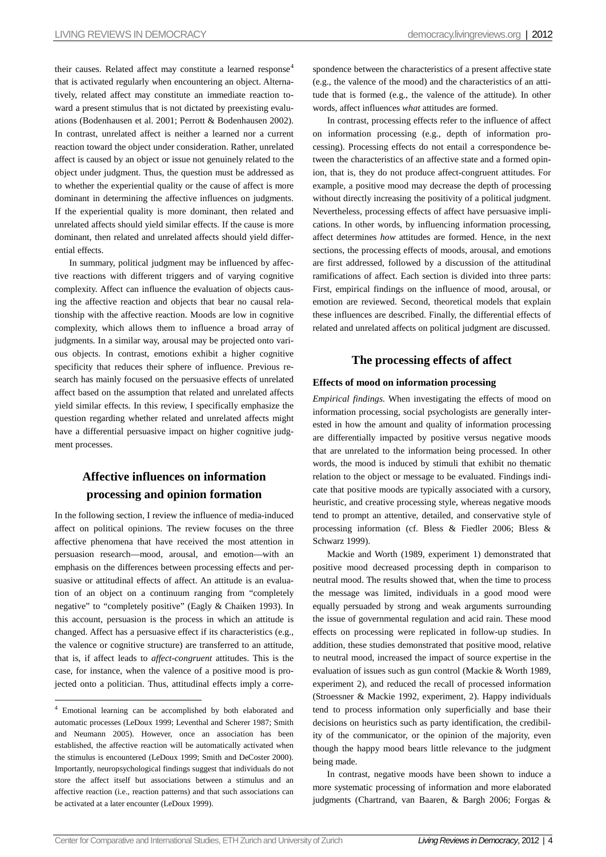their causes. Related affect may constitute a learned response<sup>[4](#page-3-0)</sup> that is activated regularly when encountering an object. Alternatively, related affect may constitute an immediate reaction toward a present stimulus that is not dictated by preexisting evaluations (Bodenhausen et al. 2001; Perrott & Bodenhausen 2002). In contrast, unrelated affect is neither a learned nor a current reaction toward the object under consideration. Rather, unrelated affect is caused by an object or issue not genuinely related to the object under judgment. Thus, the question must be addressed as to whether the experiential quality or the cause of affect is more dominant in determining the affective influences on judgments. If the experiential quality is more dominant, then related and unrelated affects should yield similar effects. If the cause is more dominant, then related and unrelated affects should yield differential effects.

In summary, political judgment may be influenced by affective reactions with different triggers and of varying cognitive complexity. Affect can influence the evaluation of objects causing the affective reaction and objects that bear no causal relationship with the affective reaction. Moods are low in cognitive complexity, which allows them to influence a broad array of judgments. In a similar way, arousal may be projected onto various objects. In contrast, emotions exhibit a higher cognitive specificity that reduces their sphere of influence. Previous research has mainly focused on the persuasive effects of unrelated affect based on the assumption that related and unrelated affects yield similar effects. In this review, I specifically emphasize the question regarding whether related and unrelated affects might have a differential persuasive impact on higher cognitive judgment processes.

## **Affective influences on information processing and opinion formation**

In the following section, I review the influence of media-induced affect on political opinions. The review focuses on the three affective phenomena that have received the most attention in persuasion research—mood, arousal, and emotion—with an emphasis on the differences between processing effects and persuasive or attitudinal effects of affect. An attitude is an evaluation of an object on a continuum ranging from "completely negative" to "completely positive" (Eagly & Chaiken 1993). In this account, persuasion is the process in which an attitude is changed. Affect has a persuasive effect if its characteristics (e.g., the valence or cognitive structure) are transferred to an attitude, that is, if affect leads to *affect-congruent* attitudes. This is the case, for instance, when the valence of a positive mood is projected onto a politician. Thus, attitudinal effects imply a correspondence between the characteristics of a present affective state (e.g., the valence of the mood) and the characteristics of an attitude that is formed (e.g., the valence of the attitude). In other words, affect influences *what* attitudes are formed.

In contrast, processing effects refer to the influence of affect on information processing (e.g., depth of information processing). Processing effects do not entail a correspondence between the characteristics of an affective state and a formed opinion, that is, they do not produce affect-congruent attitudes. For example, a positive mood may decrease the depth of processing without directly increasing the positivity of a political judgment. Nevertheless, processing effects of affect have persuasive implications. In other words, by influencing information processing, affect determines *how* attitudes are formed. Hence, in the next sections, the processing effects of moods, arousal, and emotions are first addressed, followed by a discussion of the attitudinal ramifications of affect. Each section is divided into three parts: First, empirical findings on the influence of mood, arousal, or emotion are reviewed. Second, theoretical models that explain these influences are described. Finally, the differential effects of related and unrelated affects on political judgment are discussed.

## **The processing effects of affect**

## **Effects of mood on information processing**

*Empirical findings.* When investigating the effects of mood on information processing, social psychologists are generally interested in how the amount and quality of information processing are differentially impacted by positive versus negative moods that are unrelated to the information being processed. In other words, the mood is induced by stimuli that exhibit no thematic relation to the object or message to be evaluated. Findings indicate that positive moods are typically associated with a cursory, heuristic, and creative processing style, whereas negative moods tend to prompt an attentive, detailed, and conservative style of processing information (cf. Bless & Fiedler 2006; Bless & Schwarz 1999).

Mackie and Worth (1989, experiment 1) demonstrated that positive mood decreased processing depth in comparison to neutral mood. The results showed that, when the time to process the message was limited, individuals in a good mood were equally persuaded by strong and weak arguments surrounding the issue of governmental regulation and acid rain. These mood effects on processing were replicated in follow-up studies. In addition, these studies demonstrated that positive mood, relative to neutral mood, increased the impact of source expertise in the evaluation of issues such as gun control (Mackie & Worth 1989, experiment 2), and reduced the recall of processed information (Stroessner & Mackie 1992, experiment, 2). Happy individuals tend to process information only superficially and base their decisions on heuristics such as party identification, the credibility of the communicator, or the opinion of the majority, even though the happy mood bears little relevance to the judgment being made.

In contrast, negative moods have been shown to induce a more systematic processing of information and more elaborated judgments (Chartrand, van Baaren, & Bargh 2006; Forgas &

<span id="page-3-0"></span> <sup>4</sup> Emotional learning can be accomplished by both elaborated and automatic processes (LeDoux 1999; Leventhal and Scherer 1987; Smith and Neumann 2005). However, once an association has been established, the affective reaction will be automatically activated when the stimulus is encountered (LeDoux 1999; Smith and DeCoster 2000). Importantly, neuropsychological findings suggest that individuals do not store the affect itself but associations between a stimulus and an affective reaction (i.e., reaction patterns) and that such associations can be activated at a later encounter (LeDoux 1999).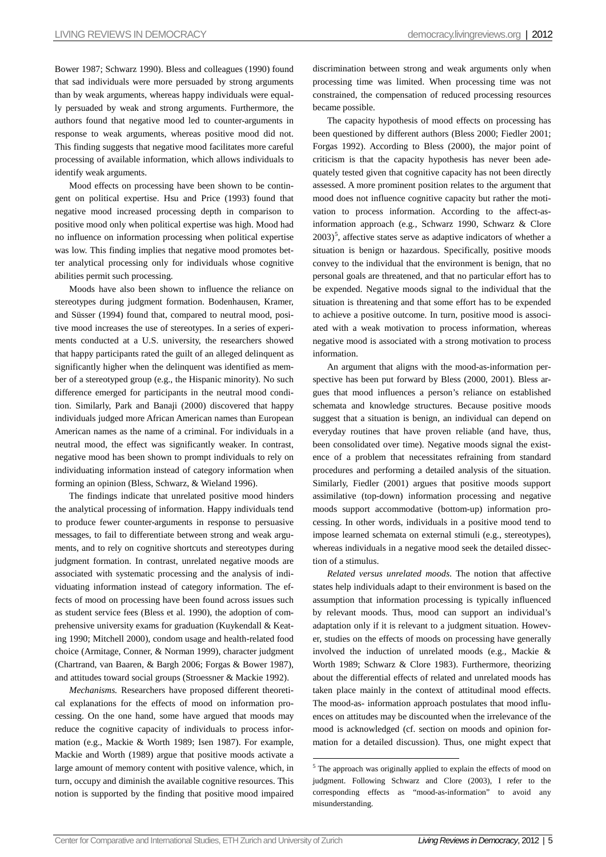Bower 1987; Schwarz 1990). Bless and colleagues (1990) found that sad individuals were more persuaded by strong arguments than by weak arguments, whereas happy individuals were equally persuaded by weak and strong arguments. Furthermore, the authors found that negative mood led to counter-arguments in response to weak arguments, whereas positive mood did not. This finding suggests that negative mood facilitates more careful processing of available information, which allows individuals to identify weak arguments.

Mood effects on processing have been shown to be contingent on political expertise. Hsu and Price (1993) found that negative mood increased processing depth in comparison to positive mood only when political expertise was high. Mood had no influence on information processing when political expertise was low. This finding implies that negative mood promotes better analytical processing only for individuals whose cognitive abilities permit such processing.

Moods have also been shown to influence the reliance on stereotypes during judgment formation. Bodenhausen, Kramer, and Süsser (1994) found that, compared to neutral mood, positive mood increases the use of stereotypes. In a series of experiments conducted at a U.S. university, the researchers showed that happy participants rated the guilt of an alleged delinquent as significantly higher when the delinquent was identified as member of a stereotyped group (e.g., the Hispanic minority). No such difference emerged for participants in the neutral mood condition. Similarly, Park and Banaji (2000) discovered that happy individuals judged more African American names than European American names as the name of a criminal. For individuals in a neutral mood, the effect was significantly weaker. In contrast, negative mood has been shown to prompt individuals to rely on individuating information instead of category information when forming an opinion (Bless, Schwarz, & Wieland 1996).

The findings indicate that unrelated positive mood hinders the analytical processing of information. Happy individuals tend to produce fewer counter-arguments in response to persuasive messages, to fail to differentiate between strong and weak arguments, and to rely on cognitive shortcuts and stereotypes during judgment formation. In contrast, unrelated negative moods are associated with systematic processing and the analysis of individuating information instead of category information. The effects of mood on processing have been found across issues such as student service fees (Bless et al. 1990), the adoption of comprehensive university exams for graduation (Kuykendall & Keating 1990; Mitchell 2000), condom usage and health-related food choice (Armitage, Conner, & Norman 1999), character judgment (Chartrand, van Baaren, & Bargh 2006; Forgas & Bower 1987), and attitudes toward social groups (Stroessner & Mackie 1992).

<span id="page-4-0"></span>*Mechanisms.* Researchers have proposed different theoretical explanations for the effects of mood on information processing. On the one hand, some have argued that moods may reduce the cognitive capacity of individuals to process information (e.g., Mackie & Worth 1989; Isen 1987). For example, Mackie and Worth (1989) argue that positive moods activate a large amount of memory content with positive valence, which, in turn, occupy and diminish the available cognitive resources. This notion is supported by the finding that positive mood impaired discrimination between strong and weak arguments only when processing time was limited. When processing time was not constrained, the compensation of reduced processing resources became possible.

The capacity hypothesis of mood effects on processing has been questioned by different authors (Bless 2000; Fiedler 2001; Forgas 1992). According to Bless (2000), the major point of criticism is that the capacity hypothesis has never been adequately tested given that cognitive capacity has not been directly assessed. A more prominent position relates to the argument that mood does not influence cognitive capacity but rather the motivation to process information. According to the affect-asinformation approach (e.g., Schwarz 1990, Schwarz & Clore  $2003$ <sup>[5](#page-4-0)</sup>, affective states serve as adaptive indicators of whether a situation is benign or hazardous. Specifically, positive moods convey to the individual that the environment is benign, that no personal goals are threatened, and that no particular effort has to be expended. Negative moods signal to the individual that the situation is threatening and that some effort has to be expended to achieve a positive outcome. In turn, positive mood is associated with a weak motivation to process information, whereas negative mood is associated with a strong motivation to process information.

An argument that aligns with the mood-as-information perspective has been put forward by Bless (2000, 2001). Bless argues that mood influences a person's reliance on established schemata and knowledge structures. Because positive moods suggest that a situation is benign, an individual can depend on everyday routines that have proven reliable (and have, thus, been consolidated over time). Negative moods signal the existence of a problem that necessitates refraining from standard procedures and performing a detailed analysis of the situation. Similarly, Fiedler (2001) argues that positive moods support assimilative (top-down) information processing and negative moods support accommodative (bottom-up) information processing. In other words, individuals in a positive mood tend to impose learned schemata on external stimuli (e.g., stereotypes), whereas individuals in a negative mood seek the detailed dissection of a stimulus.

*Related versus unrelated moods*. The notion that affective states help individuals adapt to their environment is based on the assumption that information processing is typically influenced by relevant moods. Thus, mood can support an individual's adaptation only if it is relevant to a judgment situation. However, studies on the effects of moods on processing have generally involved the induction of unrelated moods (e.g., Mackie & Worth 1989; Schwarz & Clore 1983). Furthermore, theorizing about the differential effects of related and unrelated moods has taken place mainly in the context of attitudinal mood effects. The mood-as- information approach postulates that mood influences on attitudes may be discounted when the irrelevance of the mood is acknowledged (cf. section on moods and opinion formation for a detailed discussion). Thus, one might expect that

<sup>&</sup>lt;sup>5</sup> The approach was originally applied to explain the effects of mood on judgment. Following Schwarz and Clore (2003), I refer to the corresponding effects as "mood-as-information" to avoid any misunderstanding.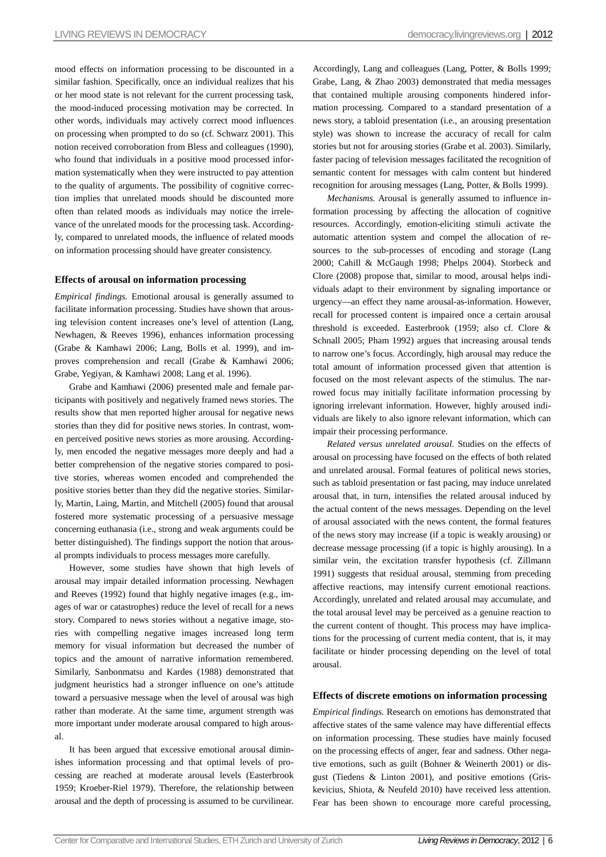mood effects on information processing to be discounted in a similar fashion. Specifically, once an individual realizes that his or her mood state is not relevant for the current processing task, the mood-induced processing motivation may be corrected. In other words, individuals may actively correct mood influences on processing when prompted to do so (cf. Schwarz 2001). This notion received corroboration from Bless and colleagues (1990), who found that individuals in a positive mood processed information systematically when they were instructed to pay attention to the quality of arguments. The possibility of cognitive correction implies that unrelated moods should be discounted more often than related moods as individuals may notice the irrelevance of the unrelated moods for the processing task. Accordingly, compared to unrelated moods, the influence of related moods on information processing should have greater consistency.

### **Effects of arousal on information processing**

*Empirical findings.* Emotional arousal is generally assumed to facilitate information processing. Studies have shown that arousing television content increases one's level of attention (Lang, Newhagen, & Reeves 1996), enhances information processing (Grabe & Kamhawi 2006; Lang, Bolls et al. 1999), and improves comprehension and recall (Grabe & Kamhawi 2006; Grabe, Yegiyan, & Kamhawi 2008; Lang et al. 1996).

Grabe and Kamhawi (2006) presented male and female participants with positively and negatively framed news stories. The results show that men reported higher arousal for negative news stories than they did for positive news stories. In contrast, women perceived positive news stories as more arousing. Accordingly, men encoded the negative messages more deeply and had a better comprehension of the negative stories compared to positive stories, whereas women encoded and comprehended the positive stories better than they did the negative stories. Similarly, Martin, Laing, Martin, and Mitchell (2005) found that arousal fostered more systematic processing of a persuasive message concerning euthanasia (i.e., strong and weak arguments could be better distinguished). The findings support the notion that arousal prompts individuals to process messages more carefully.

However, some studies have shown that high levels of arousal may impair detailed information processing. Newhagen and Reeves (1992) found that highly negative images (e.g., images of war or catastrophes) reduce the level of recall for a news story. Compared to news stories without a negative image, stories with compelling negative images increased long term memory for visual information but decreased the number of topics and the amount of narrative information remembered. Similarly, Sanbonmatsu and Kardes (1988) demonstrated that judgment heuristics had a stronger influence on one's attitude toward a persuasive message when the level of arousal was high rather than moderate. At the same time, argument strength was more important under moderate arousal compared to high arousal.

It has been argued that excessive emotional arousal diminishes information processing and that optimal levels of processing are reached at moderate arousal levels (Easterbrook 1959; Kroeber-Riel 1979). Therefore, the relationship between arousal and the depth of processing is assumed to be curvilinear. Accordingly, Lang and colleagues (Lang, Potter, & Bolls 1999; Grabe, Lang, & Zhao 2003) demonstrated that media messages that contained multiple arousing components hindered information processing. Compared to a standard presentation of a news story, a tabloid presentation (i.e., an arousing presentation style) was shown to increase the accuracy of recall for calm stories but not for arousing stories (Grabe et al. 2003). Similarly, faster pacing of television messages facilitated the recognition of semantic content for messages with calm content but hindered recognition for arousing messages (Lang, Potter, & Bolls 1999).

*Mechanisms.* Arousal is generally assumed to influence information processing by affecting the allocation of cognitive resources. Accordingly, emotion-eliciting stimuli activate the automatic attention system and compel the allocation of resources to the sub-processes of encoding and storage (Lang 2000; Cahill & McGaugh 1998; Phelps 2004). Storbeck and Clore (2008) propose that, similar to mood, arousal helps individuals adapt to their environment by signaling importance or urgency—an effect they name arousal-as-information. However, recall for processed content is impaired once a certain arousal threshold is exceeded. Easterbrook (1959; also cf. Clore & Schnall 2005; Pham 1992) argues that increasing arousal tends to narrow one's focus. Accordingly, high arousal may reduce the total amount of information processed given that attention is focused on the most relevant aspects of the stimulus. The narrowed focus may initially facilitate information processing by ignoring irrelevant information. However, highly aroused individuals are likely to also ignore relevant information, which can impair their processing performance.

*Related versus unrelated arousal*. Studies on the effects of arousal on processing have focused on the effects of both related and unrelated arousal. Formal features of political news stories, such as tabloid presentation or fast pacing, may induce unrelated arousal that, in turn, intensifies the related arousal induced by the actual content of the news messages. Depending on the level of arousal associated with the news content, the formal features of the news story may increase (if a topic is weakly arousing) or decrease message processing (if a topic is highly arousing). In a similar vein, the excitation transfer hypothesis (cf. Zillmann 1991) suggests that residual arousal, stemming from preceding affective reactions, may intensify current emotional reactions. Accordingly, unrelated and related arousal may accumulate, and the total arousal level may be perceived as a genuine reaction to the current content of thought. This process may have implications for the processing of current media content, that is, it may facilitate or hinder processing depending on the level of total arousal.

#### **Effects of discrete emotions on information processing**

*Empirical findings.* Research on emotions has demonstrated that affective states of the same valence may have differential effects on information processing. These studies have mainly focused on the processing effects of anger, fear and sadness. Other negative emotions, such as guilt (Bohner & Weinerth 2001) or disgust (Tiedens & Linton 2001), and positive emotions (Griskevicius, Shiota, & Neufeld 2010) have received less attention. Fear has been shown to encourage more careful processing,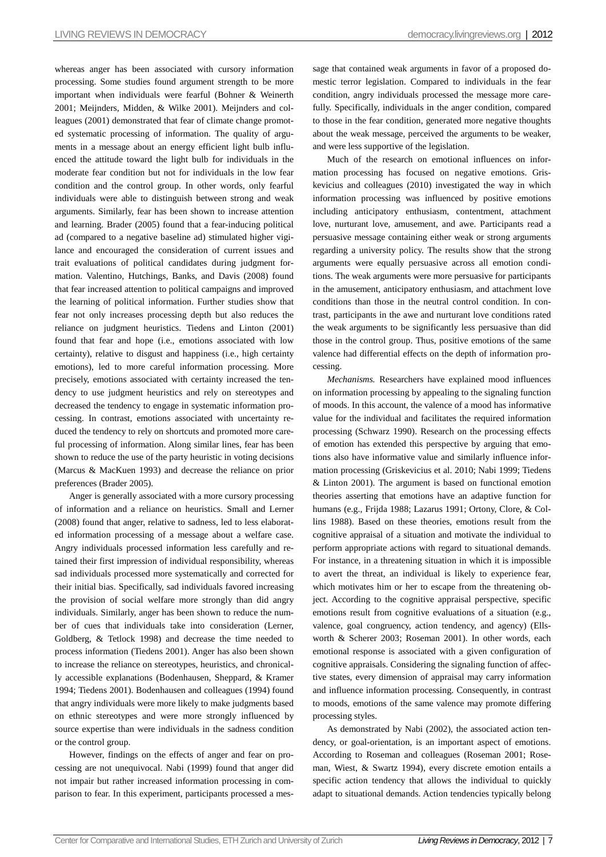whereas anger has been associated with cursory information processing. Some studies found argument strength to be more important when individuals were fearful (Bohner & Weinerth 2001; Meijnders, Midden, & Wilke 2001). Meijnders and colleagues (2001) demonstrated that fear of climate change promoted systematic processing of information. The quality of arguments in a message about an energy efficient light bulb influenced the attitude toward the light bulb for individuals in the moderate fear condition but not for individuals in the low fear condition and the control group. In other words, only fearful individuals were able to distinguish between strong and weak arguments. Similarly, fear has been shown to increase attention and learning. Brader (2005) found that a fear-inducing political ad (compared to a negative baseline ad) stimulated higher vigilance and encouraged the consideration of current issues and trait evaluations of political candidates during judgment formation. Valentino, Hutchings, Banks, and Davis (2008) found that fear increased attention to political campaigns and improved the learning of political information. Further studies show that fear not only increases processing depth but also reduces the reliance on judgment heuristics. Tiedens and Linton (2001) found that fear and hope (i.e., emotions associated with low certainty), relative to disgust and happiness (i.e., high certainty emotions), led to more careful information processing. More precisely, emotions associated with certainty increased the tendency to use judgment heuristics and rely on stereotypes and decreased the tendency to engage in systematic information processing. In contrast, emotions associated with uncertainty reduced the tendency to rely on shortcuts and promoted more careful processing of information. Along similar lines, fear has been shown to reduce the use of the party heuristic in voting decisions (Marcus & MacKuen 1993) and decrease the reliance on prior preferences (Brader 2005).

Anger is generally associated with a more cursory processing of information and a reliance on heuristics. Small and Lerner (2008) found that anger, relative to sadness, led to less elaborated information processing of a message about a welfare case. Angry individuals processed information less carefully and retained their first impression of individual responsibility, whereas sad individuals processed more systematically and corrected for their initial bias. Specifically, sad individuals favored increasing the provision of social welfare more strongly than did angry individuals. Similarly, anger has been shown to reduce the number of cues that individuals take into consideration (Lerner, Goldberg, & Tetlock 1998) and decrease the time needed to process information (Tiedens 2001). Anger has also been shown to increase the reliance on stereotypes, heuristics, and chronically accessible explanations (Bodenhausen, Sheppard, & Kramer 1994; Tiedens 2001). Bodenhausen and colleagues (1994) found that angry individuals were more likely to make judgments based on ethnic stereotypes and were more strongly influenced by source expertise than were individuals in the sadness condition or the control group.

However, findings on the effects of anger and fear on processing are not unequivocal. Nabi (1999) found that anger did not impair but rather increased information processing in comparison to fear. In this experiment, participants processed a message that contained weak arguments in favor of a proposed domestic terror legislation. Compared to individuals in the fear condition, angry individuals processed the message more carefully. Specifically, individuals in the anger condition, compared to those in the fear condition, generated more negative thoughts about the weak message, perceived the arguments to be weaker, and were less supportive of the legislation.

Much of the research on emotional influences on information processing has focused on negative emotions. Griskevicius and colleagues (2010) investigated the way in which information processing was influenced by positive emotions including anticipatory enthusiasm, contentment, attachment love, nurturant love, amusement, and awe. Participants read a persuasive message containing either weak or strong arguments regarding a university policy. The results show that the strong arguments were equally persuasive across all emotion conditions. The weak arguments were more persuasive for participants in the amusement, anticipatory enthusiasm, and attachment love conditions than those in the neutral control condition. In contrast, participants in the awe and nurturant love conditions rated the weak arguments to be significantly less persuasive than did those in the control group. Thus, positive emotions of the same valence had differential effects on the depth of information processing.

*Mechanisms.* Researchers have explained mood influences on information processing by appealing to the signaling function of moods. In this account, the valence of a mood has informative value for the individual and facilitates the required information processing (Schwarz 1990). Research on the processing effects of emotion has extended this perspective by arguing that emotions also have informative value and similarly influence information processing (Griskevicius et al. 2010; Nabi 1999; Tiedens & Linton 2001). The argument is based on functional emotion theories asserting that emotions have an adaptive function for humans (e.g., Frijda 1988; Lazarus 1991; Ortony, Clore, & Collins 1988). Based on these theories, emotions result from the cognitive appraisal of a situation and motivate the individual to perform appropriate actions with regard to situational demands. For instance, in a threatening situation in which it is impossible to avert the threat, an individual is likely to experience fear, which motivates him or her to escape from the threatening object. According to the cognitive appraisal perspective, specific emotions result from cognitive evaluations of a situation (e.g., valence, goal congruency, action tendency, and agency) (Ellsworth & Scherer 2003; Roseman 2001). In other words, each emotional response is associated with a given configuration of cognitive appraisals. Considering the signaling function of affective states, every dimension of appraisal may carry information and influence information processing. Consequently, in contrast to moods, emotions of the same valence may promote differing processing styles.

As demonstrated by Nabi (2002), the associated action tendency, or goal-orientation, is an important aspect of emotions. According to Roseman and colleagues (Roseman 2001; Roseman, Wiest, & Swartz 1994), every discrete emotion entails a specific action tendency that allows the individual to quickly adapt to situational demands. Action tendencies typically belong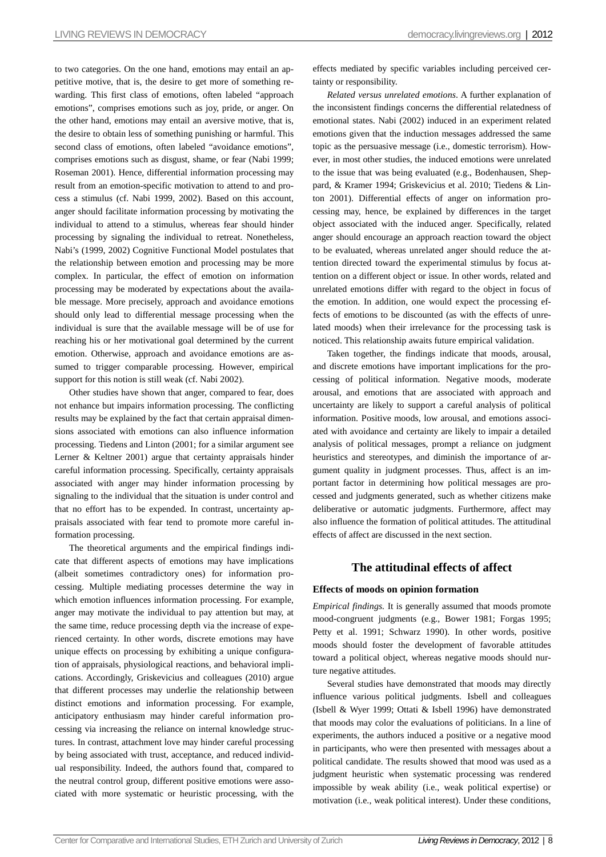to two categories. On the one hand, emotions may entail an appetitive motive, that is, the desire to get more of something rewarding. This first class of emotions, often labeled "approach emotions", comprises emotions such as joy, pride, or anger. On the other hand, emotions may entail an aversive motive, that is, the desire to obtain less of something punishing or harmful. This second class of emotions, often labeled "avoidance emotions", comprises emotions such as disgust, shame, or fear (Nabi 1999; Roseman 2001). Hence, differential information processing may result from an emotion-specific motivation to attend to and process a stimulus (cf. Nabi 1999, 2002). Based on this account, anger should facilitate information processing by motivating the individual to attend to a stimulus, whereas fear should hinder processing by signaling the individual to retreat. Nonetheless, Nabi's (1999, 2002) Cognitive Functional Model postulates that the relationship between emotion and processing may be more complex. In particular, the effect of emotion on information processing may be moderated by expectations about the available message. More precisely, approach and avoidance emotions should only lead to differential message processing when the individual is sure that the available message will be of use for reaching his or her motivational goal determined by the current emotion. Otherwise, approach and avoidance emotions are assumed to trigger comparable processing. However, empirical support for this notion is still weak (cf. Nabi 2002).

Other studies have shown that anger, compared to fear, does not enhance but impairs information processing. The conflicting results may be explained by the fact that certain appraisal dimensions associated with emotions can also influence information processing. Tiedens and Linton (2001; for a similar argument see Lerner & Keltner 2001) argue that certainty appraisals hinder careful information processing. Specifically, certainty appraisals associated with anger may hinder information processing by signaling to the individual that the situation is under control and that no effort has to be expended. In contrast, uncertainty appraisals associated with fear tend to promote more careful information processing.

The theoretical arguments and the empirical findings indicate that different aspects of emotions may have implications (albeit sometimes contradictory ones) for information processing. Multiple mediating processes determine the way in which emotion influences information processing. For example, anger may motivate the individual to pay attention but may, at the same time, reduce processing depth via the increase of experienced certainty. In other words, discrete emotions may have unique effects on processing by exhibiting a unique configuration of appraisals, physiological reactions, and behavioral implications. Accordingly, Griskevicius and colleagues (2010) argue that different processes may underlie the relationship between distinct emotions and information processing. For example, anticipatory enthusiasm may hinder careful information processing via increasing the reliance on internal knowledge structures. In contrast, attachment love may hinder careful processing by being associated with trust, acceptance, and reduced individual responsibility. Indeed, the authors found that, compared to the neutral control group, different positive emotions were associated with more systematic or heuristic processing, with the effects mediated by specific variables including perceived certainty or responsibility.

*Related versus unrelated emotions*. A further explanation of the inconsistent findings concerns the differential relatedness of emotional states. Nabi (2002) induced in an experiment related emotions given that the induction messages addressed the same topic as the persuasive message (i.e., domestic terrorism). However, in most other studies, the induced emotions were unrelated to the issue that was being evaluated (e.g., Bodenhausen, Sheppard, & Kramer 1994; Griskevicius et al. 2010; Tiedens & Linton 2001). Differential effects of anger on information processing may, hence, be explained by differences in the target object associated with the induced anger. Specifically, related anger should encourage an approach reaction toward the object to be evaluated, whereas unrelated anger should reduce the attention directed toward the experimental stimulus by focus attention on a different object or issue. In other words, related and unrelated emotions differ with regard to the object in focus of the emotion. In addition, one would expect the processing effects of emotions to be discounted (as with the effects of unrelated moods) when their irrelevance for the processing task is noticed. This relationship awaits future empirical validation.

Taken together, the findings indicate that moods, arousal, and discrete emotions have important implications for the processing of political information. Negative moods, moderate arousal, and emotions that are associated with approach and uncertainty are likely to support a careful analysis of political information. Positive moods, low arousal, and emotions associated with avoidance and certainty are likely to impair a detailed analysis of political messages, prompt a reliance on judgment heuristics and stereotypes, and diminish the importance of argument quality in judgment processes. Thus, affect is an important factor in determining how political messages are processed and judgments generated, such as whether citizens make deliberative or automatic judgments. Furthermore, affect may also influence the formation of political attitudes. The attitudinal effects of affect are discussed in the next section.

## **The attitudinal effects of affect**

## **Effects of moods on opinion formation**

*Empirical findings.* It is generally assumed that moods promote mood-congruent judgments (e.g., Bower 1981; Forgas 1995; Petty et al. 1991; Schwarz 1990). In other words, positive moods should foster the development of favorable attitudes toward a political object, whereas negative moods should nurture negative attitudes.

Several studies have demonstrated that moods may directly influence various political judgments. Isbell and colleagues (Isbell & Wyer 1999; Ottati & Isbell 1996) have demonstrated that moods may color the evaluations of politicians. In a line of experiments, the authors induced a positive or a negative mood in participants, who were then presented with messages about a political candidate. The results showed that mood was used as a judgment heuristic when systematic processing was rendered impossible by weak ability (i.e., weak political expertise) or motivation (i.e., weak political interest). Under these conditions,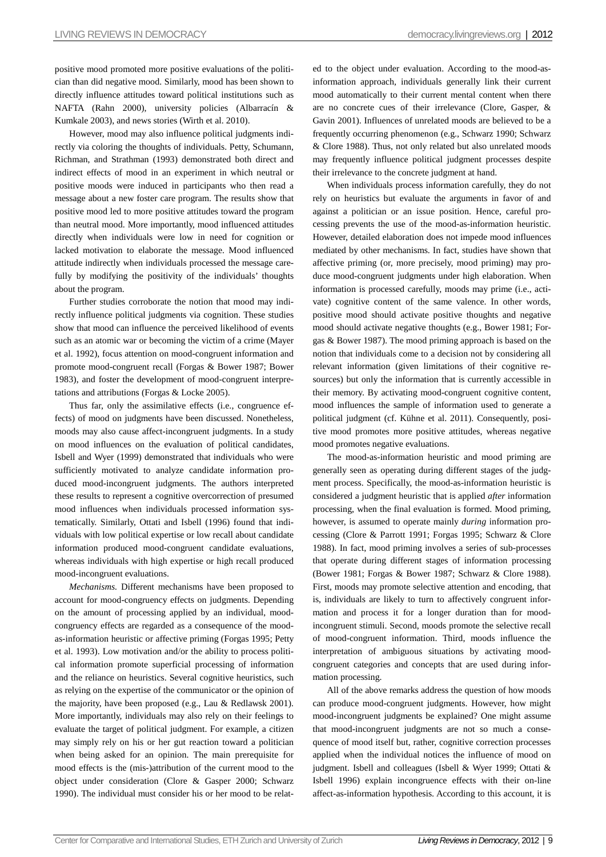positive mood promoted more positive evaluations of the politician than did negative mood. Similarly, mood has been shown to directly influence attitudes toward political institutions such as NAFTA (Rahn 2000), university policies (Albarracín & Kumkale 2003), and news stories (Wirth et al. 2010).

However, mood may also influence political judgments indirectly via coloring the thoughts of individuals. Petty, Schumann, Richman, and Strathman (1993) demonstrated both direct and indirect effects of mood in an experiment in which neutral or positive moods were induced in participants who then read a message about a new foster care program. The results show that positive mood led to more positive attitudes toward the program than neutral mood. More importantly, mood influenced attitudes directly when individuals were low in need for cognition or lacked motivation to elaborate the message. Mood influenced attitude indirectly when individuals processed the message carefully by modifying the positivity of the individuals' thoughts about the program.

Further studies corroborate the notion that mood may indirectly influence political judgments via cognition. These studies show that mood can influence the perceived likelihood of events such as an atomic war or becoming the victim of a crime (Mayer et al. 1992), focus attention on mood-congruent information and promote mood-congruent recall (Forgas & Bower 1987; Bower 1983), and foster the development of mood-congruent interpretations and attributions (Forgas & Locke 2005).

Thus far, only the assimilative effects (i.e., congruence effects) of mood on judgments have been discussed. Nonetheless, moods may also cause affect-incongruent judgments. In a study on mood influences on the evaluation of political candidates, Isbell and Wyer (1999) demonstrated that individuals who were sufficiently motivated to analyze candidate information produced mood-incongruent judgments. The authors interpreted these results to represent a cognitive overcorrection of presumed mood influences when individuals processed information systematically. Similarly, Ottati and Isbell (1996) found that individuals with low political expertise or low recall about candidate information produced mood-congruent candidate evaluations, whereas individuals with high expertise or high recall produced mood-incongruent evaluations.

*Mechanisms.* Different mechanisms have been proposed to account for mood-congruency effects on judgments. Depending on the amount of processing applied by an individual, moodcongruency effects are regarded as a consequence of the moodas-information heuristic or affective priming (Forgas 1995; Petty et al. 1993). Low motivation and/or the ability to process political information promote superficial processing of information and the reliance on heuristics. Several cognitive heuristics, such as relying on the expertise of the communicator or the opinion of the majority, have been proposed (e.g., Lau & Redlawsk 2001). More importantly, individuals may also rely on their feelings to evaluate the target of political judgment. For example, a citizen may simply rely on his or her gut reaction toward a politician when being asked for an opinion. The main prerequisite for mood effects is the (mis-)attribution of the current mood to the object under consideration (Clore & Gasper 2000; Schwarz 1990). The individual must consider his or her mood to be related to the object under evaluation. According to the mood-asinformation approach, individuals generally link their current mood automatically to their current mental content when there are no concrete cues of their irrelevance (Clore, Gasper, & Gavin 2001). Influences of unrelated moods are believed to be a frequently occurring phenomenon (e.g., Schwarz 1990; Schwarz & Clore 1988). Thus, not only related but also unrelated moods may frequently influence political judgment processes despite their irrelevance to the concrete judgment at hand.

When individuals process information carefully, they do not rely on heuristics but evaluate the arguments in favor of and against a politician or an issue position. Hence, careful processing prevents the use of the mood-as-information heuristic. However, detailed elaboration does not impede mood influences mediated by other mechanisms. In fact, studies have shown that affective priming (or, more precisely, mood priming) may produce mood-congruent judgments under high elaboration. When information is processed carefully, moods may prime (i.e., activate) cognitive content of the same valence. In other words, positive mood should activate positive thoughts and negative mood should activate negative thoughts (e.g., Bower 1981; Forgas & Bower 1987). The mood priming approach is based on the notion that individuals come to a decision not by considering all relevant information (given limitations of their cognitive resources) but only the information that is currently accessible in their memory. By activating mood-congruent cognitive content, mood influences the sample of information used to generate a political judgment (cf. Kühne et al. 2011). Consequently, positive mood promotes more positive attitudes, whereas negative mood promotes negative evaluations.

The mood-as-information heuristic and mood priming are generally seen as operating during different stages of the judgment process. Specifically, the mood-as-information heuristic is considered a judgment heuristic that is applied *after* information processing, when the final evaluation is formed. Mood priming, however, is assumed to operate mainly *during* information processing (Clore & Parrott 1991; Forgas 1995; Schwarz & Clore 1988). In fact, mood priming involves a series of sub-processes that operate during different stages of information processing (Bower 1981; Forgas & Bower 1987; Schwarz & Clore 1988). First, moods may promote selective attention and encoding, that is, individuals are likely to turn to affectively congruent information and process it for a longer duration than for moodincongruent stimuli. Second, moods promote the selective recall of mood-congruent information. Third, moods influence the interpretation of ambiguous situations by activating moodcongruent categories and concepts that are used during information processing.

All of the above remarks address the question of how moods can produce mood-congruent judgments. However, how might mood-incongruent judgments be explained? One might assume that mood-incongruent judgments are not so much a consequence of mood itself but, rather, cognitive correction processes applied when the individual notices the influence of mood on judgment. Isbell and colleagues (Isbell & Wyer 1999; Ottati & Isbell 1996) explain incongruence effects with their on-line affect-as-information hypothesis. According to this account, it is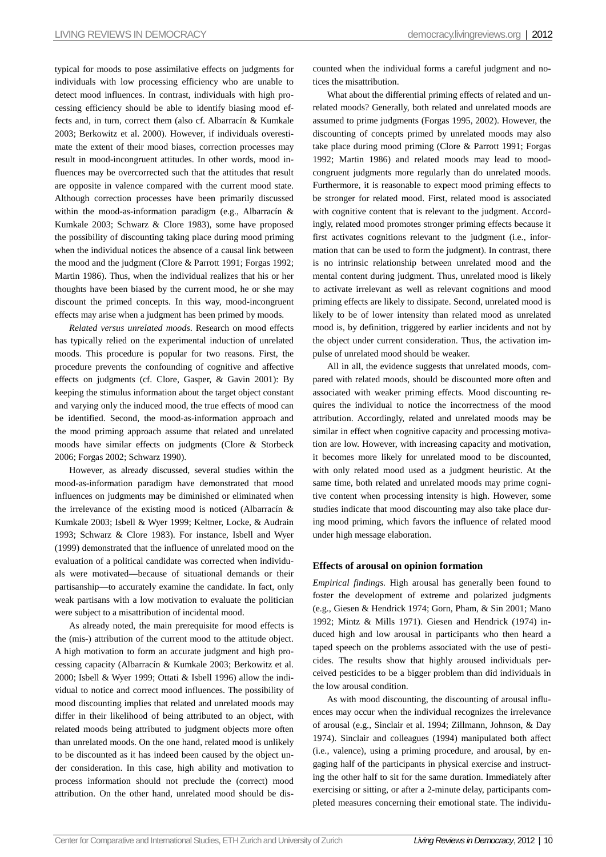typical for moods to pose assimilative effects on judgments for individuals with low processing efficiency who are unable to detect mood influences. In contrast, individuals with high processing efficiency should be able to identify biasing mood effects and, in turn, correct them (also cf. Albarracín & Kumkale 2003; Berkowitz et al. 2000). However, if individuals overestimate the extent of their mood biases, correction processes may result in mood-incongruent attitudes. In other words, mood influences may be overcorrected such that the attitudes that result are opposite in valence compared with the current mood state. Although correction processes have been primarily discussed within the mood-as-information paradigm (e.g., Albarracín & Kumkale 2003; Schwarz & Clore 1983), some have proposed the possibility of discounting taking place during mood priming when the individual notices the absence of a causal link between the mood and the judgment (Clore & Parrott 1991; Forgas 1992; Martin 1986). Thus, when the individual realizes that his or her thoughts have been biased by the current mood, he or she may discount the primed concepts. In this way, mood-incongruent effects may arise when a judgment has been primed by moods.

*Related versus unrelated moods*. Research on mood effects has typically relied on the experimental induction of unrelated moods. This procedure is popular for two reasons. First, the procedure prevents the confounding of cognitive and affective effects on judgments (cf. Clore, Gasper, & Gavin 2001): By keeping the stimulus information about the target object constant and varying only the induced mood, the true effects of mood can be identified. Second, the mood-as-information approach and the mood priming approach assume that related and unrelated moods have similar effects on judgments (Clore & Storbeck 2006; Forgas 2002; Schwarz 1990).

However, as already discussed, several studies within the mood-as-information paradigm have demonstrated that mood influences on judgments may be diminished or eliminated when the irrelevance of the existing mood is noticed (Albarracín & Kumkale 2003; Isbell & Wyer 1999; Keltner, Locke, & Audrain 1993; Schwarz & Clore 1983). For instance, Isbell and Wyer (1999) demonstrated that the influence of unrelated mood on the evaluation of a political candidate was corrected when individuals were motivated—because of situational demands or their partisanship—to accurately examine the candidate. In fact, only weak partisans with a low motivation to evaluate the politician were subject to a misattribution of incidental mood.

As already noted, the main prerequisite for mood effects is the (mis-) attribution of the current mood to the attitude object. A high motivation to form an accurate judgment and high processing capacity (Albarracín & Kumkale 2003; Berkowitz et al. 2000; Isbell & Wyer 1999; Ottati & Isbell 1996) allow the individual to notice and correct mood influences. The possibility of mood discounting implies that related and unrelated moods may differ in their likelihood of being attributed to an object, with related moods being attributed to judgment objects more often than unrelated moods. On the one hand, related mood is unlikely to be discounted as it has indeed been caused by the object under consideration. In this case, high ability and motivation to process information should not preclude the (correct) mood attribution. On the other hand, unrelated mood should be discounted when the individual forms a careful judgment and notices the misattribution.

What about the differential priming effects of related and unrelated moods? Generally, both related and unrelated moods are assumed to prime judgments (Forgas 1995, 2002). However, the discounting of concepts primed by unrelated moods may also take place during mood priming (Clore & Parrott 1991; Forgas 1992; Martin 1986) and related moods may lead to moodcongruent judgments more regularly than do unrelated moods. Furthermore, it is reasonable to expect mood priming effects to be stronger for related mood. First, related mood is associated with cognitive content that is relevant to the judgment. Accordingly, related mood promotes stronger priming effects because it first activates cognitions relevant to the judgment (i.e., information that can be used to form the judgment). In contrast, there is no intrinsic relationship between unrelated mood and the mental content during judgment. Thus, unrelated mood is likely to activate irrelevant as well as relevant cognitions and mood priming effects are likely to dissipate. Second, unrelated mood is likely to be of lower intensity than related mood as unrelated mood is, by definition, triggered by earlier incidents and not by the object under current consideration. Thus, the activation impulse of unrelated mood should be weaker.

All in all, the evidence suggests that unrelated moods, compared with related moods, should be discounted more often and associated with weaker priming effects. Mood discounting requires the individual to notice the incorrectness of the mood attribution. Accordingly, related and unrelated moods may be similar in effect when cognitive capacity and processing motivation are low. However, with increasing capacity and motivation, it becomes more likely for unrelated mood to be discounted, with only related mood used as a judgment heuristic. At the same time, both related and unrelated moods may prime cognitive content when processing intensity is high. However, some studies indicate that mood discounting may also take place during mood priming, which favors the influence of related mood under high message elaboration.

## **Effects of arousal on opinion formation**

*Empirical findings.* High arousal has generally been found to foster the development of extreme and polarized judgments (e.g., Giesen & Hendrick 1974; Gorn, Pham, & Sin 2001; Mano 1992; Mintz & Mills 1971). Giesen and Hendrick (1974) induced high and low arousal in participants who then heard a taped speech on the problems associated with the use of pesticides. The results show that highly aroused individuals perceived pesticides to be a bigger problem than did individuals in the low arousal condition.

As with mood discounting, the discounting of arousal influences may occur when the individual recognizes the irrelevance of arousal (e.g., Sinclair et al. 1994; Zillmann, Johnson, & Day 1974). Sinclair and colleagues (1994) manipulated both affect (i.e., valence), using a priming procedure, and arousal, by engaging half of the participants in physical exercise and instructing the other half to sit for the same duration. Immediately after exercising or sitting, or after a 2-minute delay, participants completed measures concerning their emotional state. The individu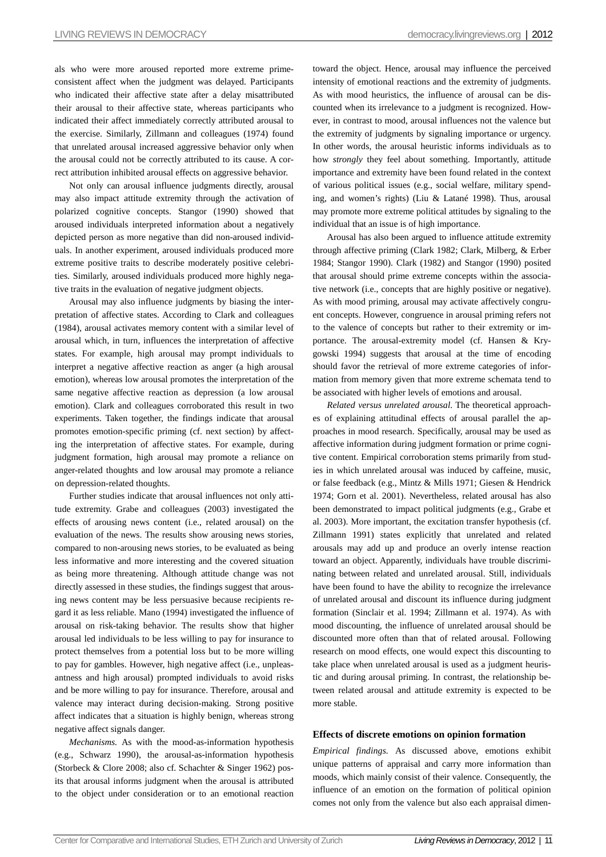als who were more aroused reported more extreme primeconsistent affect when the judgment was delayed. Participants who indicated their affective state after a delay misattributed their arousal to their affective state, whereas participants who indicated their affect immediately correctly attributed arousal to the exercise. Similarly, Zillmann and colleagues (1974) found that unrelated arousal increased aggressive behavior only when the arousal could not be correctly attributed to its cause. A correct attribution inhibited arousal effects on aggressive behavior.

Not only can arousal influence judgments directly, arousal may also impact attitude extremity through the activation of polarized cognitive concepts. Stangor (1990) showed that aroused individuals interpreted information about a negatively depicted person as more negative than did non-aroused individuals. In another experiment, aroused individuals produced more extreme positive traits to describe moderately positive celebrities. Similarly, aroused individuals produced more highly negative traits in the evaluation of negative judgment objects.

Arousal may also influence judgments by biasing the interpretation of affective states. According to Clark and colleagues (1984), arousal activates memory content with a similar level of arousal which, in turn, influences the interpretation of affective states. For example, high arousal may prompt individuals to interpret a negative affective reaction as anger (a high arousal emotion), whereas low arousal promotes the interpretation of the same negative affective reaction as depression (a low arousal emotion). Clark and colleagues corroborated this result in two experiments. Taken together, the findings indicate that arousal promotes emotion-specific priming (cf. next section) by affecting the interpretation of affective states. For example, during judgment formation, high arousal may promote a reliance on anger-related thoughts and low arousal may promote a reliance on depression-related thoughts.

Further studies indicate that arousal influences not only attitude extremity. Grabe and colleagues (2003) investigated the effects of arousing news content (i.e., related arousal) on the evaluation of the news. The results show arousing news stories, compared to non-arousing news stories, to be evaluated as being less informative and more interesting and the covered situation as being more threatening. Although attitude change was not directly assessed in these studies, the findings suggest that arousing news content may be less persuasive because recipients regard it as less reliable. Mano (1994) investigated the influence of arousal on risk-taking behavior. The results show that higher arousal led individuals to be less willing to pay for insurance to protect themselves from a potential loss but to be more willing to pay for gambles. However, high negative affect (i.e., unpleasantness and high arousal) prompted individuals to avoid risks and be more willing to pay for insurance. Therefore, arousal and valence may interact during decision-making. Strong positive affect indicates that a situation is highly benign, whereas strong negative affect signals danger.

*Mechanisms.* As with the mood-as-information hypothesis (e.g., Schwarz 1990), the arousal-as-information hypothesis (Storbeck & Clore 2008; also cf. Schachter & Singer 1962) posits that arousal informs judgment when the arousal is attributed to the object under consideration or to an emotional reaction

toward the object. Hence, arousal may influence the perceived intensity of emotional reactions and the extremity of judgments. As with mood heuristics, the influence of arousal can be discounted when its irrelevance to a judgment is recognized. However, in contrast to mood, arousal influences not the valence but the extremity of judgments by signaling importance or urgency. In other words, the arousal heuristic informs individuals as to how *strongly* they feel about something. Importantly, attitude importance and extremity have been found related in the context of various political issues (e.g., social welfare, military spending, and women's rights) (Liu & Latané 1998). Thus, arousal may promote more extreme political attitudes by signaling to the individual that an issue is of high importance.

Arousal has also been argued to influence attitude extremity through affective priming (Clark 1982; Clark, Milberg, & Erber 1984; Stangor 1990). Clark (1982) and Stangor (1990) posited that arousal should prime extreme concepts within the associative network (i.e., concepts that are highly positive or negative). As with mood priming, arousal may activate affectively congruent concepts. However, congruence in arousal priming refers not to the valence of concepts but rather to their extremity or importance. The arousal-extremity model (cf. Hansen & Krygowski 1994) suggests that arousal at the time of encoding should favor the retrieval of more extreme categories of information from memory given that more extreme schemata tend to be associated with higher levels of emotions and arousal.

*Related versus unrelated arousal*. The theoretical approaches of explaining attitudinal effects of arousal parallel the approaches in mood research. Specifically, arousal may be used as affective information during judgment formation or prime cognitive content. Empirical corroboration stems primarily from studies in which unrelated arousal was induced by caffeine, music, or false feedback (e.g., Mintz & Mills 1971; Giesen & Hendrick 1974; Gorn et al. 2001). Nevertheless, related arousal has also been demonstrated to impact political judgments (e.g., Grabe et al. 2003). More important, the excitation transfer hypothesis (cf. Zillmann 1991) states explicitly that unrelated and related arousals may add up and produce an overly intense reaction toward an object. Apparently, individuals have trouble discriminating between related and unrelated arousal. Still, individuals have been found to have the ability to recognize the irrelevance of unrelated arousal and discount its influence during judgment formation (Sinclair et al. 1994; Zillmann et al. 1974). As with mood discounting, the influence of unrelated arousal should be discounted more often than that of related arousal. Following research on mood effects, one would expect this discounting to take place when unrelated arousal is used as a judgment heuristic and during arousal priming. In contrast, the relationship between related arousal and attitude extremity is expected to be more stable.

### **Effects of discrete emotions on opinion formation**

*Empirical findings.* As discussed above, emotions exhibit unique patterns of appraisal and carry more information than moods, which mainly consist of their valence. Consequently, the influence of an emotion on the formation of political opinion comes not only from the valence but also each appraisal dimen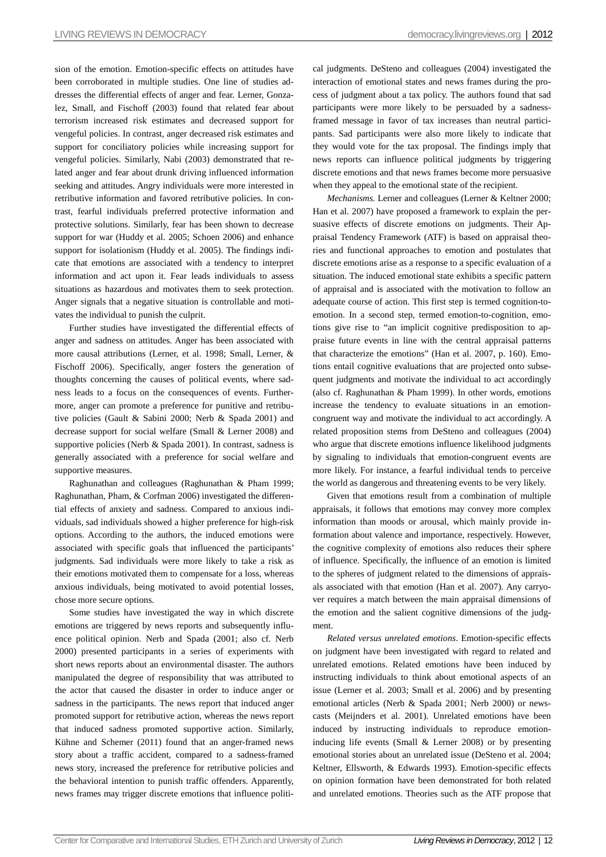sion of the emotion. Emotion-specific effects on attitudes have been corroborated in multiple studies. One line of studies addresses the differential effects of anger and fear. Lerner, Gonzalez, Small, and Fischoff (2003) found that related fear about terrorism increased risk estimates and decreased support for vengeful policies. In contrast, anger decreased risk estimates and support for conciliatory policies while increasing support for vengeful policies. Similarly, Nabi (2003) demonstrated that related anger and fear about drunk driving influenced information seeking and attitudes. Angry individuals were more interested in retributive information and favored retributive policies. In contrast, fearful individuals preferred protective information and protective solutions. Similarly, fear has been shown to decrease support for war (Huddy et al. 2005; Schoen 2006) and enhance support for isolationism (Huddy et al. 2005). The findings indicate that emotions are associated with a tendency to interpret information and act upon it. Fear leads individuals to assess situations as hazardous and motivates them to seek protection. Anger signals that a negative situation is controllable and motivates the individual to punish the culprit.

Further studies have investigated the differential effects of anger and sadness on attitudes. Anger has been associated with more causal attributions (Lerner, et al. 1998; Small, Lerner, & Fischoff 2006). Specifically, anger fosters the generation of thoughts concerning the causes of political events, where sadness leads to a focus on the consequences of events. Furthermore, anger can promote a preference for punitive and retributive policies (Gault & Sabini 2000; Nerb & Spada 2001) and decrease support for social welfare (Small & Lerner 2008) and supportive policies (Nerb & Spada 2001). In contrast, sadness is generally associated with a preference for social welfare and supportive measures.

Raghunathan and colleagues (Raghunathan & Pham 1999; Raghunathan, Pham, & Corfman 2006) investigated the differential effects of anxiety and sadness. Compared to anxious individuals, sad individuals showed a higher preference for high-risk options. According to the authors, the induced emotions were associated with specific goals that influenced the participants' judgments. Sad individuals were more likely to take a risk as their emotions motivated them to compensate for a loss, whereas anxious individuals, being motivated to avoid potential losses, chose more secure options.

Some studies have investigated the way in which discrete emotions are triggered by news reports and subsequently influence political opinion. Nerb and Spada (2001; also cf. Nerb 2000) presented participants in a series of experiments with short news reports about an environmental disaster. The authors manipulated the degree of responsibility that was attributed to the actor that caused the disaster in order to induce anger or sadness in the participants. The news report that induced anger promoted support for retributive action, whereas the news report that induced sadness promoted supportive action. Similarly, Kühne and Schemer (2011) found that an anger-framed news story about a traffic accident, compared to a sadness-framed news story, increased the preference for retributive policies and the behavioral intention to punish traffic offenders. Apparently, news frames may trigger discrete emotions that influence political judgments. DeSteno and colleagues (2004) investigated the interaction of emotional states and news frames during the process of judgment about a tax policy. The authors found that sad participants were more likely to be persuaded by a sadnessframed message in favor of tax increases than neutral participants. Sad participants were also more likely to indicate that they would vote for the tax proposal. The findings imply that news reports can influence political judgments by triggering discrete emotions and that news frames become more persuasive when they appeal to the emotional state of the recipient.

*Mechanisms.* Lerner and colleagues (Lerner & Keltner 2000; Han et al. 2007) have proposed a framework to explain the persuasive effects of discrete emotions on judgments. Their Appraisal Tendency Framework (ATF) is based on appraisal theories and functional approaches to emotion and postulates that discrete emotions arise as a response to a specific evaluation of a situation. The induced emotional state exhibits a specific pattern of appraisal and is associated with the motivation to follow an adequate course of action. This first step is termed cognition-toemotion. In a second step, termed emotion-to-cognition, emotions give rise to "an implicit cognitive predisposition to appraise future events in line with the central appraisal patterns that characterize the emotions" (Han et al. 2007, p. 160). Emotions entail cognitive evaluations that are projected onto subsequent judgments and motivate the individual to act accordingly (also cf. Raghunathan & Pham 1999). In other words, emotions increase the tendency to evaluate situations in an emotioncongruent way and motivate the individual to act accordingly. A related proposition stems from DeSteno and colleagues (2004) who argue that discrete emotions influence likelihood judgments by signaling to individuals that emotion-congruent events are more likely. For instance, a fearful individual tends to perceive the world as dangerous and threatening events to be very likely.

Given that emotions result from a combination of multiple appraisals, it follows that emotions may convey more complex information than moods or arousal, which mainly provide information about valence and importance, respectively. However, the cognitive complexity of emotions also reduces their sphere of influence. Specifically, the influence of an emotion is limited to the spheres of judgment related to the dimensions of appraisals associated with that emotion (Han et al. 2007). Any carryover requires a match between the main appraisal dimensions of the emotion and the salient cognitive dimensions of the judgment.

*Related versus unrelated emotions*. Emotion-specific effects on judgment have been investigated with regard to related and unrelated emotions. Related emotions have been induced by instructing individuals to think about emotional aspects of an issue (Lerner et al. 2003; Small et al. 2006) and by presenting emotional articles (Nerb & Spada 2001; Nerb 2000) or newscasts (Meijnders et al. 2001). Unrelated emotions have been induced by instructing individuals to reproduce emotioninducing life events (Small & Lerner 2008) or by presenting emotional stories about an unrelated issue (DeSteno et al. 2004; Keltner, Ellsworth, & Edwards 1993). Emotion-specific effects on opinion formation have been demonstrated for both related and unrelated emotions. Theories such as the ATF propose that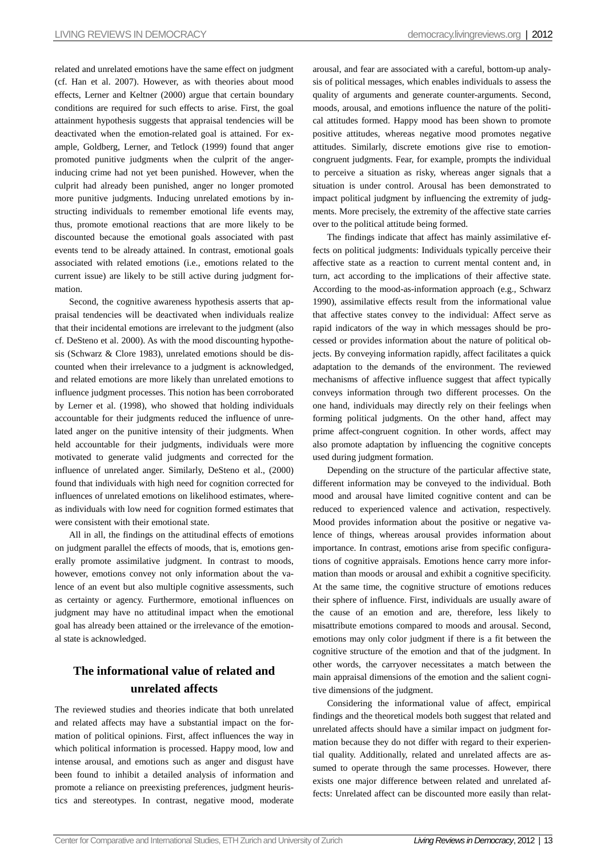related and unrelated emotions have the same effect on judgment (cf. Han et al. 2007). However, as with theories about mood effects, Lerner and Keltner (2000) argue that certain boundary conditions are required for such effects to arise. First, the goal attainment hypothesis suggests that appraisal tendencies will be deactivated when the emotion-related goal is attained. For example, Goldberg, Lerner, and Tetlock (1999) found that anger promoted punitive judgments when the culprit of the angerinducing crime had not yet been punished. However, when the culprit had already been punished, anger no longer promoted more punitive judgments. Inducing unrelated emotions by instructing individuals to remember emotional life events may, thus, promote emotional reactions that are more likely to be discounted because the emotional goals associated with past events tend to be already attained. In contrast, emotional goals associated with related emotions (i.e., emotions related to the current issue) are likely to be still active during judgment formation.

Second, the cognitive awareness hypothesis asserts that appraisal tendencies will be deactivated when individuals realize that their incidental emotions are irrelevant to the judgment (also cf. DeSteno et al. 2000). As with the mood discounting hypothesis (Schwarz & Clore 1983), unrelated emotions should be discounted when their irrelevance to a judgment is acknowledged, and related emotions are more likely than unrelated emotions to influence judgment processes. This notion has been corroborated by Lerner et al. (1998), who showed that holding individuals accountable for their judgments reduced the influence of unrelated anger on the punitive intensity of their judgments. When held accountable for their judgments, individuals were more motivated to generate valid judgments and corrected for the influence of unrelated anger. Similarly, DeSteno et al., (2000) found that individuals with high need for cognition corrected for influences of unrelated emotions on likelihood estimates, whereas individuals with low need for cognition formed estimates that were consistent with their emotional state.

All in all, the findings on the attitudinal effects of emotions on judgment parallel the effects of moods, that is, emotions generally promote assimilative judgment. In contrast to moods, however, emotions convey not only information about the valence of an event but also multiple cognitive assessments, such as certainty or agency. Furthermore, emotional influences on judgment may have no attitudinal impact when the emotional goal has already been attained or the irrelevance of the emotional state is acknowledged.

## **The informational value of related and unrelated affects**

The reviewed studies and theories indicate that both unrelated and related affects may have a substantial impact on the formation of political opinions. First, affect influences the way in which political information is processed. Happy mood, low and intense arousal, and emotions such as anger and disgust have been found to inhibit a detailed analysis of information and promote a reliance on preexisting preferences, judgment heuristics and stereotypes. In contrast, negative mood, moderate arousal, and fear are associated with a careful, bottom-up analysis of political messages, which enables individuals to assess the quality of arguments and generate counter-arguments. Second, moods, arousal, and emotions influence the nature of the political attitudes formed. Happy mood has been shown to promote positive attitudes, whereas negative mood promotes negative attitudes. Similarly, discrete emotions give rise to emotioncongruent judgments. Fear, for example, prompts the individual to perceive a situation as risky, whereas anger signals that a situation is under control. Arousal has been demonstrated to impact political judgment by influencing the extremity of judgments. More precisely, the extremity of the affective state carries over to the political attitude being formed.

The findings indicate that affect has mainly assimilative effects on political judgments: Individuals typically perceive their affective state as a reaction to current mental content and, in turn, act according to the implications of their affective state. According to the mood-as-information approach (e.g., Schwarz 1990), assimilative effects result from the informational value that affective states convey to the individual: Affect serve as rapid indicators of the way in which messages should be processed or provides information about the nature of political objects. By conveying information rapidly, affect facilitates a quick adaptation to the demands of the environment. The reviewed mechanisms of affective influence suggest that affect typically conveys information through two different processes. On the one hand, individuals may directly rely on their feelings when forming political judgments. On the other hand, affect may prime affect-congruent cognition. In other words, affect may also promote adaptation by influencing the cognitive concepts used during judgment formation.

Depending on the structure of the particular affective state, different information may be conveyed to the individual. Both mood and arousal have limited cognitive content and can be reduced to experienced valence and activation, respectively. Mood provides information about the positive or negative valence of things, whereas arousal provides information about importance. In contrast, emotions arise from specific configurations of cognitive appraisals. Emotions hence carry more information than moods or arousal and exhibit a cognitive specificity. At the same time, the cognitive structure of emotions reduces their sphere of influence. First, individuals are usually aware of the cause of an emotion and are, therefore, less likely to misattribute emotions compared to moods and arousal. Second, emotions may only color judgment if there is a fit between the cognitive structure of the emotion and that of the judgment. In other words, the carryover necessitates a match between the main appraisal dimensions of the emotion and the salient cognitive dimensions of the judgment.

Considering the informational value of affect, empirical findings and the theoretical models both suggest that related and unrelated affects should have a similar impact on judgment formation because they do not differ with regard to their experiential quality. Additionally, related and unrelated affects are assumed to operate through the same processes. However, there exists one major difference between related and unrelated affects: Unrelated affect can be discounted more easily than relat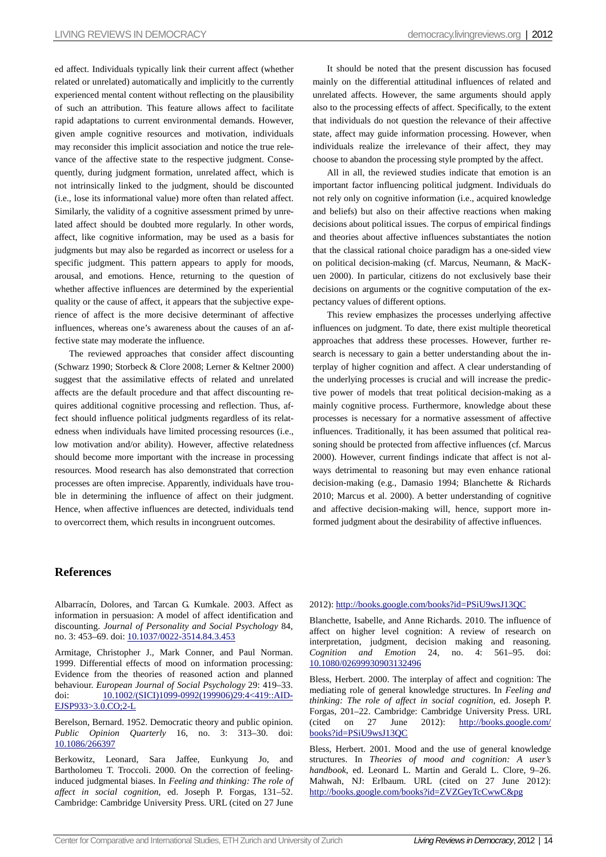ed affect. Individuals typically link their current affect (whether related or unrelated) automatically and implicitly to the currently experienced mental content without reflecting on the plausibility of such an attribution. This feature allows affect to facilitate rapid adaptations to current environmental demands. However, given ample cognitive resources and motivation, individuals may reconsider this implicit association and notice the true relevance of the affective state to the respective judgment. Consequently, during judgment formation, unrelated affect, which is not intrinsically linked to the judgment, should be discounted (i.e., lose its informational value) more often than related affect. Similarly, the validity of a cognitive assessment primed by unrelated affect should be doubted more regularly. In other words, affect, like cognitive information, may be used as a basis for judgments but may also be regarded as incorrect or useless for a specific judgment. This pattern appears to apply for moods, arousal, and emotions. Hence, returning to the question of whether affective influences are determined by the experiential quality or the cause of affect, it appears that the subjective experience of affect is the more decisive determinant of affective influences, whereas one's awareness about the causes of an affective state may moderate the influence.

The reviewed approaches that consider affect discounting (Schwarz 1990; Storbeck & Clore 2008; Lerner & Keltner 2000) suggest that the assimilative effects of related and unrelated affects are the default procedure and that affect discounting requires additional cognitive processing and reflection. Thus, affect should influence political judgments regardless of its relatedness when individuals have limited processing resources (i.e., low motivation and/or ability). However, affective relatedness should become more important with the increase in processing resources. Mood research has also demonstrated that correction processes are often imprecise. Apparently, individuals have trouble in determining the influence of affect on their judgment. Hence, when affective influences are detected, individuals tend to overcorrect them, which results in incongruent outcomes.

It should be noted that the present discussion has focused mainly on the differential attitudinal influences of related and unrelated affects. However, the same arguments should apply also to the processing effects of affect. Specifically, to the extent that individuals do not question the relevance of their affective state, affect may guide information processing. However, when individuals realize the irrelevance of their affect, they may choose to abandon the processing style prompted by the affect.

All in all, the reviewed studies indicate that emotion is an important factor influencing political judgment. Individuals do not rely only on cognitive information (i.e., acquired knowledge and beliefs) but also on their affective reactions when making decisions about political issues. The corpus of empirical findings and theories about affective influences substantiates the notion that the classical rational choice paradigm has a one-sided view on political decision-making (cf. Marcus, Neumann, & MacKuen 2000). In particular, citizens do not exclusively base their decisions on arguments or the cognitive computation of the expectancy values of different options.

This review emphasizes the processes underlying affective influences on judgment. To date, there exist multiple theoretical approaches that address these processes. However, further research is necessary to gain a better understanding about the interplay of higher cognition and affect. A clear understanding of the underlying processes is crucial and will increase the predictive power of models that treat political decision-making as a mainly cognitive process. Furthermore, knowledge about these processes is necessary for a normative assessment of affective influences. Traditionally, it has been assumed that political reasoning should be protected from affective influences (cf. Marcus 2000). However, current findings indicate that affect is not always detrimental to reasoning but may even enhance rational decision-making (e.g., Damasio 1994; Blanchette & Richards 2010; Marcus et al. 2000). A better understanding of cognitive and affective decision-making will, hence, support more informed judgment about the desirability of affective influences.

## **References**

Albarracín, Dolores, and Tarcan G. Kumkale. 2003. Affect as information in persuasion: A model of affect identification and discounting. *Journal of Personality and Social Psychology* 84, no. 3: 453–69. doi: 10.1037/0022-3514.84.3.453

Armitage, Christopher J., Mark Conner, and Paul Norman. 1999. Differential effects of mood on information processing: Evidence from the theories of reasoned action and planned behaviour. *European Journal of Social Psychology* 29: 419–33. doi: 10.1002/(SICI)1099-0992(199906)29:4<419::AID-EJSP933>3.0.CO;2-L

Berelson, Bernard. 1952. Democratic theory and public opinion. *Public Opinion Quarterly* 16, no. 3: 313–30. doi: 10.1086/266397

Berkowitz, Leonard, Sara Jaffee, Eunkyung Jo, and Bartholomeu T. Troccoli. 2000. On the correction of feelinginduced judgmental biases. In *Feeling and thinking: The role of affect in social cognition*, ed. Joseph P. Forgas, 131–52. Cambridge: Cambridge University Press. URL (cited on 27 June

#### 2012): http://books.google.com/books?id=PSiU9wsJ13QC

Blanchette, Isabelle, and Anne Richards. 2010. The influence of affect on higher level cognition: A review of research on interpretation, judgment, decision making and reasoning. *Cognition and Emotion* 24, no. 4: 561–95. doi: 10.1080/02699930903132496

Bless, Herbert. 2000. The interplay of affect and cognition: The mediating role of general knowledge structures. In *Feeling and thinking: The role of affect in social cognition*, ed. Joseph P. Forgas, 201–22. Cambridge: Cambridge University Press. URL (cited on 27 June 2012): [http://books.google.com/](http://books.google.com/books?id=PSiU9wsJ13QC)  [books?id=PSiU9wsJ13QC](http://books.google.com/books?id=PSiU9wsJ13QC)

Bless, Herbert. 2001. Mood and the use of general knowledge structures. In *Theories of mood and cognition: A user's handbook*, ed. Leonard L. Martin and Gerald L. Clore, 9–26. Mahwah, NJ: Erlbaum. URL (cited on 27 June 2012): <http://books.google.com/books?id=ZVZGeyTcCwwC&pg>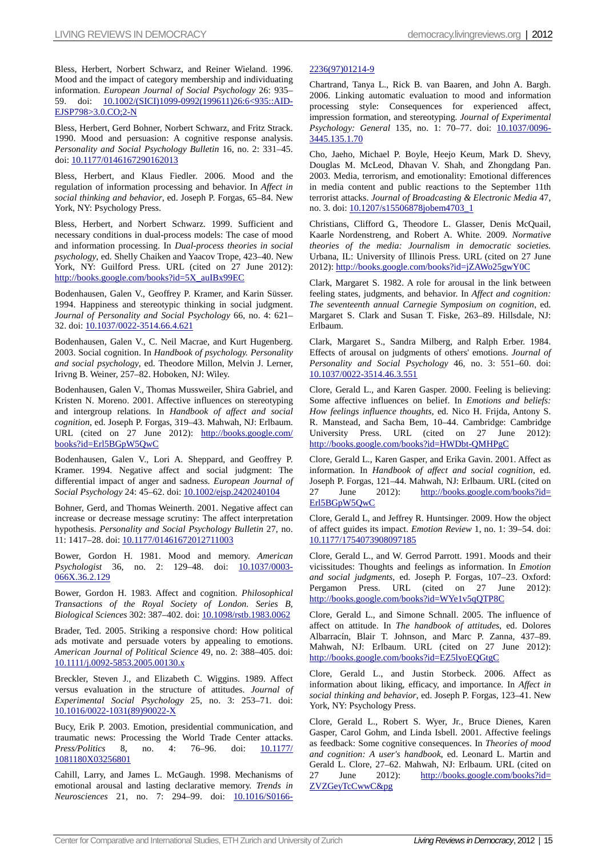Bless, Herbert, Norbert Schwarz, and Reiner Wieland. 1996. Mood and the impact of category membership and individuating information. *European Journal of Social Psychology* 26: 935– 59. doi: 10.1002/(SICI)1099-0992(199611)26:6<935::AID-EJSP798>3.0.CO;2-N

Bless, Herbert, Gerd Bohner, Norbert Schwarz, and Fritz Strack. 1990. Mood and persuasion: A cognitive response analysis. *Personality and Social Psychology Bulletin* 16, no. 2: 331–45. doi: 10.1177/0146167290162013

Bless, Herbert, and Klaus Fiedler. 2006. Mood and the regulation of information processing and behavior. In *Affect in social thinking and behavior*, ed. Joseph P. Forgas, 65–84. New York, NY: Psychology Press.

Bless, Herbert, and Norbert Schwarz. 1999. Sufficient and necessary conditions in dual-process models: The case of mood and information processing. In *Dual-process theories in social psychology*, ed. Shelly Chaiken and Yaacov Trope, 423–40. New York, NY: Guilford Press. URL (cited on 27 June 2012): http://books.google.com/books?id=5X\_auIBx99EC

Bodenhausen, Galen V., Geoffrey P. Kramer, and Karin Süsser. 1994. Happiness and stereotypic thinking in social judgment. *Journal of Personality and Social Psychology* 66, no. 4: 621– 32. doi: 10.1037/0022-3514.66.4.621

Bodenhausen, Galen V., C. Neil Macrae, and Kurt Hugenberg. 2003. Social cognition. In *Handbook of psychology. Personality and social psychology*, ed. Theodore Millon, Melvin J. Lerner, Irivng B. Weiner, 257–82. Hoboken, NJ: Wiley.

Bodenhausen, Galen V., Thomas Mussweiler, Shira Gabriel, and Kristen N. Moreno. 2001. Affective influences on stereotyping and intergroup relations. In *Handbook of affect and social cognition*, ed. Joseph P. Forgas, 319–43. Mahwah, NJ: Erlbaum. URL (cited on 27 June 2012): [http://books.google.com/](http://books.google.com/books?id=Erl5BGpW5QwC)  [books?id=Erl5BGpW5QwC](http://books.google.com/books?id=Erl5BGpW5QwC)

Bodenhausen, Galen V., Lori A. Sheppard, and Geoffrey P. Kramer. 1994. Negative affect and social judgment: The differential impact of anger and sadness. *European Journal of Social Psychology* 24: 45–62. doi: 10.1002/ejsp.2420240104

Bohner, Gerd, and Thomas Weinerth. 2001. Negative affect can increase or decrease message scrutiny: The affect interpretation hypothesis. *Personality and Social Psychology Bulletin* 27, no. 11: 1417–28. doi: 10.1177/01461672012711003

Bower, Gordon H. 1981. Mood and memory. *American*  Psychologist 36, no. 2: 129-48. doi: 10.1037/0003-066X.36.2.129

Bower, Gordon H. 1983. Affect and cognition. *Philosophical Transactions of the Royal Society of London. Series B, Biological Sciences* 302: 387–402. doi: 10.1098/rstb.1983.0062

Brader, Ted. 2005. Striking a responsive chord: How political ads motivate and persuade voters by appealing to emotions. *American Journal of Political Science* 49, no. 2: 388–405. doi: 10.1111/j.0092-5853.2005.00130.x

Breckler, Steven J., and Elizabeth C. Wiggins. 1989. Affect versus evaluation in the structure of attitudes. *Journal of Experimental Social Psychology* 25, no. 3: 253–71. doi: 10.1016/0022-1031(89)90022-X

Bucy, Erik P. 2003. Emotion, presidential communication, and traumatic news: Processing the World Trade Center attacks. *Press/Politics* 8, no. 4: 76–96. doi: 10.1177/ 1081180X03256801

Cahill, Larry, and James L. McGaugh. 1998. Mechanisms of emotional arousal and lasting declarative memory. *Trends in Neurosciences* 21, no. 7: 294–99. doi: 10.1016/S0166-

## 2236(97)01214-9

Chartrand, Tanya L., Rick B. van Baaren, and John A. Bargh. 2006. Linking automatic evaluation to mood and information processing style: Consequences for experienced affect, impression formation, and stereotyping. *Journal of Experimental*  Psychology: General 135, no. 1: 70-77. doi: 10.1037/0096-3445.135.1.70

Cho, Jaeho, Michael P. Boyle, Heejo Keum, Mark D. Shevy, Douglas M. McLeod, Dhavan V. Shah, and Zhongdang Pan. 2003. Media, terrorism, and emotionality: Emotional differences in media content and public reactions to the September 11th terrorist attacks. *Journal of Broadcasting & Electronic Media* 47, no. 3. doi: 10.1207/s15506878jobem4703\_1

Christians, Clifford G., Theodore L. Glasser, Denis McQuail, Kaarle Nordenstreng, and Robert A. White. 2009. *Normative theories of the media: Journalism in democratic societies.*  Urbana, IL: University of Illinois Press. URL (cited on 27 June 2012): http://books.google.com/books?id=jZAWo25gwY0C

Clark, Margaret S. 1982. A role for arousal in the link between feeling states, judgments, and behavior. In *Affect and cognition: The seventeenth annual Carnegie Symposium on cognition*, ed. Margaret S. Clark and Susan T. Fiske, 263–89. Hillsdale, NJ: Erlbaum.

Clark, Margaret S., Sandra Milberg, and Ralph Erber. 1984. Effects of arousal on judgments of others' emotions. *Journal of Personality and Social Psychology* 46, no. 3: 551–60. doi: 10.1037/0022-3514.46.3.551

Clore, Gerald L., and Karen Gasper. 2000. Feeling is believing: Some affective influences on belief. In *Emotions and beliefs: How feelings influence thoughts*, ed. Nico H. Frijda, Antony S. R. Manstead, and Sacha Bem, 10–44. Cambridge: Cambridge University Press. URL (cited on 27 June 2012): http://books.google.com/books?id=HWDbt-QMHPgC

Clore, Gerald L., Karen Gasper, and Erika Gavin. 2001. Affect as information. In *Handbook of affect and social cognition*, ed. Joseph P. Forgas, 121–44. Mahwah, NJ: Erlbaum. URL (cited on 27 June 2012): http://books.google.com/books?id= [Erl5BGpW5QwC](http://books.google.com/books?id=Erl5BGpW5QwC)

Clore, Gerald L, and Jeffrey R. Huntsinger. 2009. How the object of affect guides its impact. *Emotion Review* 1, no. 1: 39–54. doi: 10.1177/1754073908097185

Clore, Gerald L., and W. Gerrod Parrott. 1991. Moods and their vicissitudes: Thoughts and feelings as information. In *Emotion and social judgments*, ed. Joseph P. Forgas, 107–23. Oxford: Pergamon Press. URL (cited on 27 June 2012): http://books.google.com/books?id=WYe1v5qQTP8C

Clore, Gerald L., and Simone Schnall. 2005. The influence of affect on attitude. In *The handbook of attitudes*, ed. Dolores Albarracín, Blair T. Johnson, and Marc P. Zanna, 437–89. Mahwah, NJ: Erlbaum. URL (cited on 27 June 2012): http://books.google.com/books?id=EZ5lyoEQGtgC

Clore, Gerald L., and Justin Storbeck. 2006. Affect as information about liking, efficacy, and importance. In *Affect in social thinking and behavior*, ed. Joseph P. Forgas, 123–41. New York, NY: Psychology Press.

Clore, Gerald L., Robert S. Wyer, Jr., Bruce Dienes, Karen Gasper, Carol Gohm, and Linda Isbell. 2001. Affective feelings as feedback: Some cognitive consequences. In *Theories of mood and cognition: A user's handbook*, ed. Leonard L. Martin and Gerald L. Clore, 27–62. Mahwah, NJ: Erlbaum. URL (cited on 27 June 2012): [http://books.google.com/books?id=](http://books.google.com/books?id=%20ZVZGeyTcCwwC&pg)  [ZVZGeyTcCwwC&pg](http://books.google.com/books?id=%20ZVZGeyTcCwwC&pg)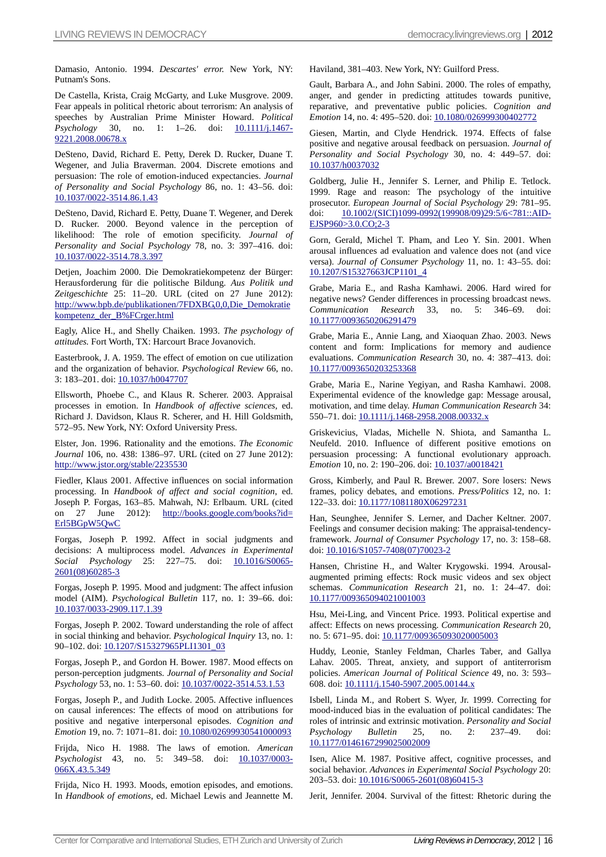Damasio, Antonio. 1994. *Descartes' error.* New York, NY: Putnam's Sons.

De Castella, Krista, Craig McGarty, and Luke Musgrove. 2009. Fear appeals in political rhetoric about terrorism: An analysis of speeches by Australian Prime Minister Howard. *Political Psychology* 30, no. 1: 1-26. doi: **10.1111/j.1467-**9221.2008.00678.x

DeSteno, David, Richard E. Petty, Derek D. Rucker, Duane T. Wegener, and Julia Braverman. 2004. Discrete emotions and persuasion: The role of emotion-induced expectancies. *Journal of Personality and Social Psychology* 86, no. 1: 43–56. doi: 10.1037/0022-3514.86.1.43

DeSteno, David, Richard E. Petty, Duane T. Wegener, and Derek D. Rucker. 2000. Beyond valence in the perception of likelihood: The role of emotion specificity. *Journal of Personality and Social Psychology* 78, no. 3: 397–416. doi: 10.1037/0022-3514.78.3.397

Detjen, Joachim 2000. Die Demokratiekompetenz der Bürger: Herausforderung für die politische Bildung. *Aus Politik und Zeitgeschichte* 25: 11–20. URL (cited on 27 June 2012): http://www.bpb.de/publikationen/7FDXBG,0,0,Die\_Demokratie kompetenz\_der\_B%FCrger.html

Eagly, Alice H., and Shelly Chaiken. 1993. *The psychology of attitudes.* Fort Worth, TX: Harcourt Brace Jovanovich.

Easterbrook, J. A. 1959. The effect of emotion on cue utilization and the organization of behavior. *Psychological Review* 66, no. 3: 183–201. doi: 10.1037/h0047707

Ellsworth, Phoebe C., and Klaus R. Scherer. 2003. Appraisal processes in emotion. In *Handbook of affective sciences*, ed. Richard J. Davidson, Klaus R. Scherer, and H. Hill Goldsmith, 572–95. New York, NY: Oxford University Press.

Elster, Jon. 1996. Rationality and the emotions. *The Economic Journal* 106, no. 438: 1386–97. URL (cited on 27 June 2012): http://www.jstor.org/stable/2235530

Fiedler, Klaus 2001. Affective influences on social information processing. In *Handbook of affect and social cognition*, ed. Joseph P. Forgas, 163–85. Mahwah, NJ: Erlbaum. URL (cited on 27 June 2012): http://books.google.com/books?id= [Erl5BGpW5QwC](http://books.google.com/books?id=Erl5BGpW5QwC)

Forgas, Joseph P. 1992. Affect in social judgments and decisions: A multiprocess model. *Advances in Experimental Social Psychology* 25: 227–75. doi: 10.1016/S0065- 2601(08)60285-3

Forgas, Joseph P. 1995. Mood and judgment: The affect infusion model (AIM). *Psychological Bulletin* 117, no. 1: 39–66. doi: 10.1037/0033-2909.117.1.39

Forgas, Joseph P. 2002. Toward understanding the role of affect in social thinking and behavior. *Psychological Inquiry* 13, no. 1: 90–102. doi: 10.1207/S15327965PLI1301\_03

Forgas, Joseph P., and Gordon H. Bower. 1987. Mood effects on person-perception judgments. *Journal of Personality and Social Psychology* 53, no. 1: 53–60. doi: 10.1037/0022-3514.53.1.53

Forgas, Joseph P., and Judith Locke. 2005. Affective influences on causal inferences: The effects of mood on attributions for positive and negative interpersonal episodes. *Cognition and Emotion* 19, no. 7: 1071–81. doi: 10.1080/02699930541000093

Frijda, Nico H. 1988. The laws of emotion. *American Psychologist* 43, no. 5: 349–58. doi: 10.1037/0003- 066X.43.5.349

Frijda, Nico H. 1993. Moods, emotion episodes, and emotions. In *Handbook of emotions*, ed. Michael Lewis and Jeannette M. Haviland, 381–403. New York, NY: Guilford Press.

Gault, Barbara A., and John Sabini. 2000. The roles of empathy, anger, and gender in predicting attitudes towards punitive, reparative, and preventative public policies. *Cognition and Emotion* 14, no. 4: 495–520. doi: 10.1080/026999300402772

Giesen, Martin, and Clyde Hendrick. 1974. Effects of false positive and negative arousal feedback on persuasion. *Journal of Personality and Social Psychology* 30, no. 4: 449–57. doi: 10.1037/h0037032

Goldberg, Julie H., Jennifer S. Lerner, and Philip E. Tetlock. 1999. Rage and reason: The psychology of the intuitive prosecutor. *European Journal of Social Psychology* 29: 781–95. doi: 10.1002/(SICI)1099-0992(199908/09)29:5/6<781::AID-EJSP960>3.0.CO;2-3

Gorn, Gerald, Michel T. Pham, and Leo Y. Sin. 2001. When arousal influences ad evaluation and valence does not (and vice versa). *Journal of Consumer Psychology* 11, no. 1: 43–55. doi: 10.1207/S15327663JCP1101\_4

Grabe, Maria E., and Rasha Kamhawi. 2006. Hard wired for negative news? Gender differences in processing broadcast news. *Communication Research* 33, no. 5: 346–69. doi: 10.1177/0093650206291479

Grabe, Maria E., Annie Lang, and Xiaoquan Zhao. 2003. News content and form: Implications for memory and audience evaluations. *Communication Research* 30, no. 4: 387–413. doi: 10.1177/0093650203253368

Grabe, Maria E., Narine Yegiyan, and Rasha Kamhawi. 2008. Experimental evidence of the knowledge gap: Message arousal, motivation, and time delay. *Human Communication Research* 34: 550–71. doi: 10.1111/j.1468-2958.2008.00332.x

Griskevicius, Vladas, Michelle N. Shiota, and Samantha L. Neufeld. 2010. Influence of different positive emotions on persuasion processing: A functional evolutionary approach. *Emotion* 10, no. 2: 190-206. doi: 10.1037/a0018421

Gross, Kimberly, and Paul R. Brewer. 2007. Sore losers: News frames, policy debates, and emotions. *Press/Politics* 12, no. 1: 122–33. doi: 10.1177/1081180X06297231

Han, Seunghee, Jennifer S. Lerner, and Dacher Keltner. 2007. Feelings and consumer decision making: The appraisal-tendencyframework. *Journal of Consumer Psychology* 17, no. 3: 158–68. doi: 10.1016/S1057-7408(07)70023-2

Hansen, Christine H., and Walter Krygowski. 1994. Arousalaugmented priming effects: Rock music videos and sex object schemas. *Communication Research* 21, no. 1: 24–47. doi: 10.1177/009365094021001003

Hsu, Mei-Ling, and Vincent Price. 1993. Political expertise and affect: Effects on news processing. *Communication Research* 20, no. 5: 671–95. doi: 10.1177/009365093020005003

Huddy, Leonie, Stanley Feldman, Charles Taber, and Gallya Lahav. 2005. Threat, anxiety, and support of antiterrorism policies. *American Journal of Political Science* 49, no. 3: 593– 608. doi: 10.1111/j.1540-5907.2005.00144.x

Isbell, Linda M., and Robert S. Wyer, Jr. 1999. Correcting for mood-induced bias in the evaluation of political candidates: The roles of intrinsic and extrinsic motivation. *Personality and Social Psychology Bulletin* 25, no. 2: 237–49. doi: 10.1177/0146167299025002009

Isen, Alice M. 1987. Positive affect, cognitive processes, and social behavior. *Advances in Experimental Social Psychology* 20: 203–53. doi: 10.1016/S0065-2601(08)60415-3

Jerit, Jennifer. 2004. Survival of the fittest: Rhetoric during the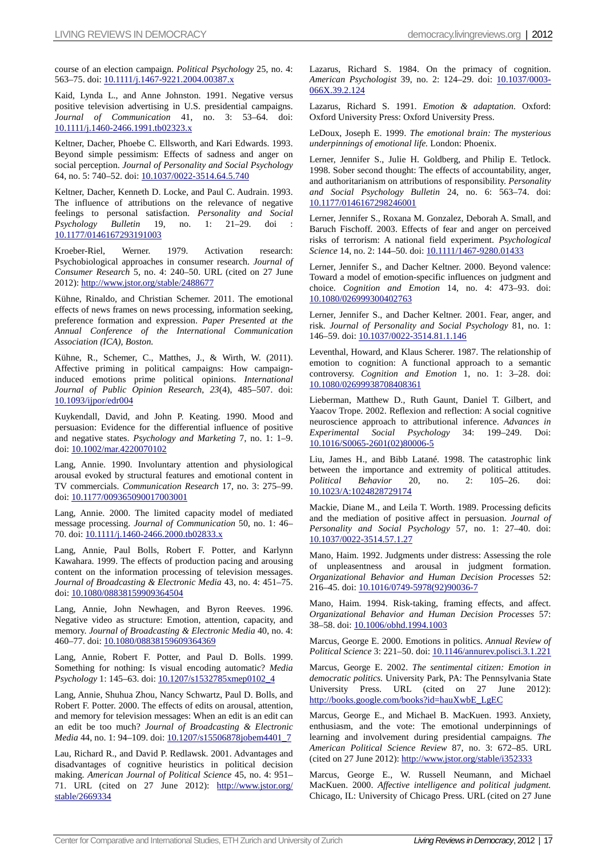course of an election campaign. *Political Psychology* 25, no. 4: 563–75. doi: 10.1111/j.1467-9221.2004.00387.x

Kaid, Lynda L., and Anne Johnston. 1991. Negative versus positive television advertising in U.S. presidential campaigns. *Journal of Communication* 41, no. 3: 53–64. doi: 10.1111/j.1460-2466.1991.tb02323.x

Keltner, Dacher, Phoebe C. Ellsworth, and Kari Edwards. 1993. Beyond simple pessimism: Effects of sadness and anger on social perception. *Journal of Personality and Social Psychology* 64, no. 5: 740–52. doi: 10.1037/0022-3514.64.5.740

Keltner, Dacher, Kenneth D. Locke, and Paul C. Audrain. 1993. The influence of attributions on the relevance of negative feelings to personal satisfaction. *Personality and Social Psychology Bulletin* 19, no. 1: 21–29. doi 10.1177/0146167293191003

Kroeber-Riel, Werner. 1979. Activation research: Psychobiological approaches in consumer research. *Journal of Consumer Research* 5, no. 4: 240–50. URL (cited on 27 June 2012): http://www.jstor.org/stable/2488677

Kühne, Rinaldo, and Christian Schemer. 2011. The emotional effects of news frames on news processing, information seeking, preference formation and expression. *Paper Presented at the Annual Conference of the International Communication Association (ICA), Boston.*

Kühne, R., Schemer, C., Matthes, J., & Wirth, W. (2011). Affective priming in political campaigns: How campaigninduced emotions prime political opinions. *International Journal of Public Opinion Research*, *23*(4), 485–507. doi: 10.1093/ijpor/edr004

Kuykendall, David, and John P. Keating. 1990. Mood and persuasion: Evidence for the differential influence of positive and negative states. *Psychology and Marketing* 7, no. 1: 1–9. doi: 10.1002/mar.4220070102

Lang, Annie. 1990. Involuntary attention and physiological arousal evoked by structural features and emotional content in TV commercials. *Communication Research* 17, no. 3: 275–99. doi: 10.1177/009365090017003001

Lang, Annie. 2000. The limited capacity model of mediated message processing. *Journal of Communication* 50, no. 1: 46– 70. doi: 10.1111/j.1460-2466.2000.tb02833.x

Lang, Annie, Paul Bolls, Robert F. Potter, and Karlynn Kawahara. 1999. The effects of production pacing and arousing content on the information processing of television messages. *Journal of Broadcasting & Electronic Media* 43, no. 4: 451–75. doi: 10.1080/08838159909364504

Lang, Annie, John Newhagen, and Byron Reeves. 1996. Negative video as structure: Emotion, attention, capacity, and memory. *Journal of Broadcasting & Electronic Media* 40, no. 4: 460–77. doi: 10.1080/08838159609364369

Lang, Annie, Robert F. Potter, and Paul D. Bolls. 1999. Something for nothing: Is visual encoding automatic? *Media Psychology* 1: 145–63. doi: 10.1207/s1532785xmep0102\_4

Lang, Annie, Shuhua Zhou, Nancy Schwartz, Paul D. Bolls, and Robert F. Potter. 2000. The effects of edits on arousal, attention, and memory for television messages: When an edit is an edit can an edit be too much? *Journal of Broadcasting & Electronic Media* 44, no. 1: 94–109. doi: 10.1207/s15506878jobem4401\_7

Lau, Richard R., and David P. Redlawsk. 2001. Advantages and disadvantages of cognitive heuristics in political decision making. *American Journal of Political Science* 45, no. 4: 951– 71. URL (cited on 27 June 2012): [http://www.jstor.org/](http://www.jstor.org/stable/2669334)  [stable/2669334](http://www.jstor.org/stable/2669334)

Lazarus, Richard S. 1984. On the primacy of cognition. *American Psychologist* 39, no. 2: 124–29. doi: 10.1037/0003- 066X.39.2.124

Lazarus, Richard S. 1991. *Emotion & adaptation.* Oxford: Oxford University Press: Oxford University Press.

LeDoux, Joseph E. 1999. *The emotional brain: The mysterious underpinnings of emotional life.* London: Phoenix.

Lerner, Jennifer S., Julie H. Goldberg, and Philip E. Tetlock. 1998. Sober second thought: The effects of accountability, anger, and authoritarianism on attributions of responsibility. *Personality and Social Psychology Bulletin* 24, no. 6: 563–74. doi: 10.1177/0146167298246001

Lerner, Jennifer S., Roxana M. Gonzalez, Deborah A. Small, and Baruch Fischoff. 2003. Effects of fear and anger on perceived risks of terrorism: A national field experiment. *Psychological Science* 14, no. 2: 144-50. doi: 10.1111/1467-9280.01433

Lerner, Jennifer S., and Dacher Keltner. 2000. Beyond valence: Toward a model of emotion-specific influences on judgment and choice. *Cognition and Emotion* 14, no. 4: 473–93. doi: 10.1080/026999300402763

Lerner, Jennifer S., and Dacher Keltner. 2001. Fear, anger, and risk. *Journal of Personality and Social Psychology* 81, no. 1: 146–59. doi: 10.1037/0022-3514.81.1.146

Leventhal, Howard, and Klaus Scherer. 1987. The relationship of emotion to cognition: A functional approach to a semantic controversy. *Cognition and Emotion* 1, no. 1: 3–28. doi: 10.1080/02699938708408361

Lieberman, Matthew D., Ruth Gaunt, Daniel T. Gilbert, and Yaacov Trope. 2002. Reflexion and reflection: A social cognitive neuroscience approach to attributional inference. *Advances in Experimental Social Psychology* 34: 199–249. Doi: 10.1016/S0065-2601(02)80006-5

Liu, James H., and Bibb Latané. 1998. The catastrophic link between the importance and extremity of political attitudes. *Political Behavior* 20, no. 2: 105–26. doi: 10.1023/A:1024828729174

Mackie, Diane M., and Leila T. Worth. 1989. Processing deficits and the mediation of positive affect in persuasion. *Journal of Personality and Social Psychology* 57, no. 1: 27–40. doi: 10.1037/0022-3514.57.1.27

Mano, Haim. 1992. Judgments under distress: Assessing the role of unpleasentness and arousal in judgment formation. *Organizational Behavior and Human Decision Processes* 52: 216–45. doi: 10.1016/0749-5978(92)90036-7

Mano, Haim. 1994. Risk-taking, framing effects, and affect. *Organizational Behavior and Human Decision Processes* 57: 38–58. doi: 10.1006/obhd.1994.1003

Marcus, George E. 2000. Emotions in politics. *Annual Review of Political Science* 3: 221–50. doi: 10.1146/annurev.polisci.3.1.221

Marcus, George E. 2002. *The sentimental citizen: Emotion in democratic politics.* University Park, PA: The Pennsylvania State University Press. URL (cited on 27 June 2012): http://books.google.com/books?id=hauXwbE\_LgEC

Marcus, George E., and Michael B. MacKuen. 1993. Anxiety, enthusiasm, and the vote: The emotional underpinnings of learning and involvement during presidential campaigns. *The American Political Science Review* 87, no. 3: 672–85. URL (cited on 27 June 2012): http://www.jstor.org/stable/i352333

Marcus, George E., W. Russell Neumann, and Michael MacKuen. 2000. *Affective intelligence and political judgment.*  Chicago, IL: University of Chicago Press. URL (cited on 27 June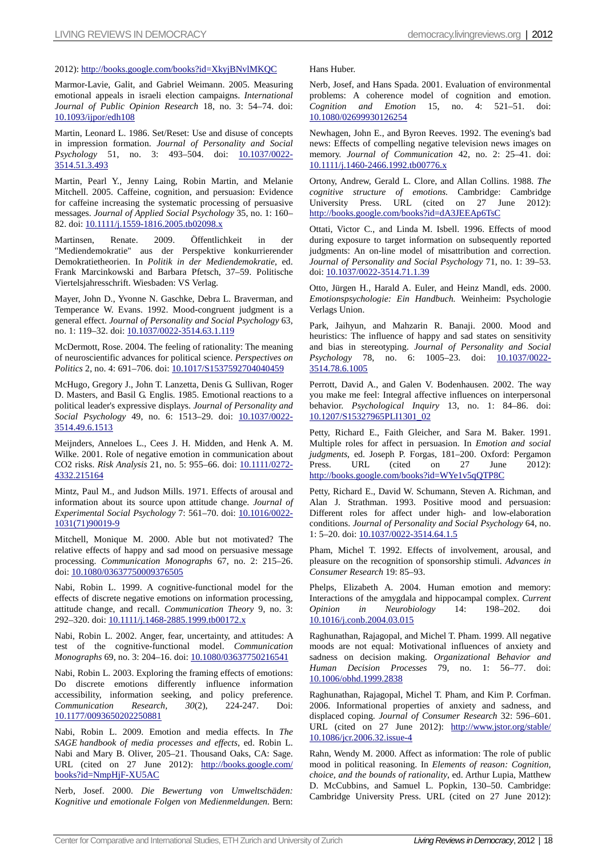## 2012): http://books.google.com/books?id=XkyjBNvlMKQC

Marmor-Lavie, Galit, and Gabriel Weimann. 2005. Measuring emotional appeals in israeli election campaigns. *International Journal of Public Opinion Research* 18, no. 3: 54–74. doi: 10.1093/ijpor/edh108

Martin, Leonard L. 1986. Set/Reset: Use and disuse of concepts in impression formation. *Journal of Personality and Social Psychology* 51, no. 3: 493–504. doi: 10.1037/0022- 3514.51.3.493

Martin, Pearl Y., Jenny Laing, Robin Martin, and Melanie Mitchell. 2005. Caffeine, cognition, and persuasion: Evidence for caffeine increasing the systematic processing of persuasive messages. *Journal of Applied Social Psychology* 35, no. 1: 160– 82. doi: 10.1111/j.1559-1816.2005.tb02098.x

Martinsen, Renate. 2009. Öffentlichkeit in der "Mediendemokratie" aus der Perspektive konkurrierender Demokratietheorien. In *Politik in der Mediendemokratie*, ed. Frank Marcinkowski and Barbara Pfetsch, 37–59. Politische Viertelsjahresschrift. Wiesbaden: VS Verlag.

Mayer, John D., Yvonne N. Gaschke, Debra L. Braverman, and Temperance W. Evans. 1992. Mood-congruent judgment is a general effect. *Journal of Personality and Social Psychology* 63, no. 1: 119–32. doi: 10.1037/0022-3514.63.1.119

McDermott, Rose. 2004. The feeling of rationality: The meaning of neuroscientific advances for political science. *Perspectives on Politics* 2, no. 4: 691–706. doi: 10.1017/S1537592704040459

McHugo, Gregory J., John T. Lanzetta, Denis G. Sullivan, Roger D. Masters, and Basil G. Englis. 1985. Emotional reactions to a political leader's expressive displays. *Journal of Personality and Social Psychology* 49, no. 6: 1513–29. doi: 10.1037/0022- 3514.49.6.1513

Meijnders, Anneloes L., Cees J. H. Midden, and Henk A. M. Wilke. 2001. Role of negative emotion in communication about CO2 risks. *Risk Analysis* 21, no. 5: 955–66. doi: 10.1111/0272- 4332.215164

Mintz, Paul M., and Judson Mills. 1971. Effects of arousal and information about its source upon attitude change. *Journal of Experimental Social Psychology* 7: 561-70. doi: 10.1016/0022-1031(71)90019-9

Mitchell, Monique M. 2000. Able but not motivated? The relative effects of happy and sad mood on persuasive message processing. *Communication Monographs* 67, no. 2: 215–26. doi: 10.1080/03637750009376505

Nabi, Robin L. 1999. A cognitive-functional model for the effects of discrete negative emotions on information processing, attitude change, and recall. *Communication Theory* 9, no. 3: 292–320. doi: 10.1111/j.1468-2885.1999.tb00172.x

Nabi, Robin L. 2002. Anger, fear, uncertainty, and attitudes: A test of the cognitive-functional model. *Communication Monographs* 69, no. 3: 204–16. doi: 10.1080/03637750216541

Nabi, Robin L. 2003. Exploring the framing effects of emotions: Do discrete emotions differently influence information accessibility, information seeking, and policy preference.<br> *Communication Research*,  $30(2)$ , 224-247. Doi: *Communication Research, 30*(2), 224-247. Doi: 10.1177/0093650202250881

Nabi, Robin L. 2009. Emotion and media effects. In *The SAGE handbook of media processes and effects*, ed. Robin L. Nabi and Mary B. Oliver, 205–21. Thousand Oaks, CA: Sage. URL (cited on 27 June 2012): [http://books.google.com/](http://books.google.com/books?id=NmpHjF-XU5AC)  [books?id=NmpHjF-XU5AC](http://books.google.com/books?id=NmpHjF-XU5AC)

Nerb, Josef. 2000. *Die Bewertung von Umweltschäden: Kognitive und emotionale Folgen von Medienmeldungen.* Bern: Hans Huber.

Nerb, Josef, and Hans Spada. 2001. Evaluation of environmental problems: A coherence model of cognition and emotion. *Cognition and Emotion* 15, no. 4: 521–51. doi: 10.1080/02699930126254

Newhagen, John E., and Byron Reeves. 1992. The evening's bad news: Effects of compelling negative television news images on memory. *Journal of Communication* 42, no. 2: 25–41. doi: 10.1111/j.1460-2466.1992.tb00776.x

Ortony, Andrew, Gerald L. Clore, and Allan Collins. 1988. *The cognitive structure of emotions.* Cambridge: Cambridge University Press. URL (cited on 27 June 2012): http://books.google.com/books?id=dA3JEEAp6TsC

Ottati, Victor C., and Linda M. Isbell. 1996. Effects of mood during exposure to target information on subsequently reported judgments: An on-line model of misattribution and correction. *Journal of Personality and Social Psychology* 71, no. 1: 39–53. doi: 10.1037/0022-3514.71.1.39

Otto, Jürgen H., Harald A. Euler, and Heinz Mandl, eds. 2000. *Emotionspsychologie: Ein Handbuch.* Weinheim: Psychologie Verlags Union.

Park, Jaihyun, and Mahzarin R. Banaji. 2000. Mood and heuristics: The influence of happy and sad states on sensitivity and bias in stereotyping. *Journal of Personality and Social Psychology* 78, no. 6: 1005–23. doi: 10.1037/0022-3514.78.6.1005

Perrott, David A., and Galen V. Bodenhausen. 2002. The way you make me feel: Integral affective influences on interpersonal behavior. *Psychological Inquiry* 13, no. 1: 84–86. doi: 10.1207/S15327965PLI1301\_02

Petty, Richard E., Faith Gleicher, and Sara M. Baker. 1991. Multiple roles for affect in persuasion. In *Emotion and social judgments*, ed. Joseph P. Forgas, 181–200. Oxford: Pergamon Press. URL (cited on 27 June 2012): http://books.google.com/books?id=WYe1v5qQTP8C

Petty, Richard E., David W. Schumann, Steven A. Richman, and Alan J. Strathman. 1993. Positive mood and persuasion: Different roles for affect under high- and low-elaboration conditions. *Journal of Personality and Social Psychology* 64, no. 1: 5–20. doi: 10.1037/0022-3514.64.1.5

Pham, Michel T. 1992. Effects of involvement, arousal, and pleasure on the recognition of sponsorship stimuli. *Advances in Consumer Research* 19: 85–93.

Phelps, Elizabeth A. 2004. Human emotion and memory: Interactions of the amygdala and hippocampal complex. *Current Opinion in Neurobiology* 14: 198–202. doi 10.1016/j.conb.2004.03.015

Raghunathan, Rajagopal, and Michel T. Pham. 1999. All negative moods are not equal: Motivational influences of anxiety and sadness on decision making. *Organizational Behavior and Human Decision Processes* 79, no. 1: 56–77. doi: 10.1006/obhd.1999.2838

Raghunathan, Rajagopal, Michel T. Pham, and Kim P. Corfman. 2006. Informational properties of anxiety and sadness, and displaced coping. *Journal of Consumer Research* 32: 596–601. URL (cited on 27 June 2012): [http://www.jstor.org/stable/](http://www.jstor.org/stable/%2010.1086/jcr.2006.32.issue-4)  [10.1086/jcr.2006.32.issue-4](http://www.jstor.org/stable/%2010.1086/jcr.2006.32.issue-4)

Rahn, Wendy M. 2000. Affect as information: The role of public mood in political reasoning. In *Elements of reason: Cognition, choice, and the bounds of rationality*, ed. Arthur Lupia, Matthew D. McCubbins, and Samuel L. Popkin, 130–50. Cambridge: Cambridge University Press. URL (cited on 27 June 2012):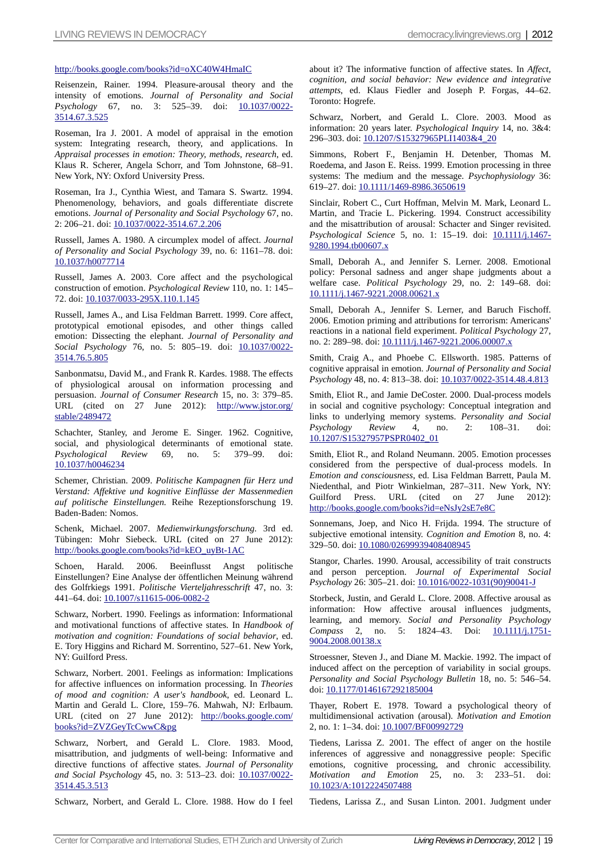#### http://books.google.com/books?id=oXC40W4HmaIC

Reisenzein, Rainer. 1994. Pleasure-arousal theory and the intensity of emotions. *Journal of Personality and Social Psychology* 67, no. 3: 525–39. doi: 10.1037/0022- 3514.67.3.525

Roseman, Ira J. 2001. A model of appraisal in the emotion system: Integrating research, theory, and applications. In *Appraisal processes in emotion: Theory, methods, research*, ed. Klaus R. Scherer, Angela Schorr, and Tom Johnstone, 68–91. New York, NY: Oxford University Press.

Roseman, Ira J., Cynthia Wiest, and Tamara S. Swartz. 1994. Phenomenology, behaviors, and goals differentiate discrete emotions. *Journal of Personality and Social Psychology* 67, no. 2: 206–21. doi: 10.1037/0022-3514.67.2.206

Russell, James A. 1980. A circumplex model of affect. *Journal of Personality and Social Psychology* 39, no. 6: 1161–78. doi: 10.1037/h0077714

Russell, James A. 2003. Core affect and the psychological construction of emotion. *Psychological Review* 110, no. 1: 145– 72. doi: 10.1037/0033-295X.110.1.145

Russell, James A., and Lisa Feldman Barrett. 1999. Core affect, prototypical emotional episodes, and other things called emotion: Dissecting the elephant. *Journal of Personality and Social Psychology* 76, no. 5: 805–19. doi: 10.1037/0022- 3514.76.5.805

Sanbonmatsu, David M., and Frank R. Kardes. 1988. The effects of physiological arousal on information processing and persuasion. *Journal of Consumer Research* 15, no. 3: 379–85. URL (cited on 27 June 2012): [http://www.jstor.org/](http://www.jstor.org/%20stable/2489472)  [stable/2489472](http://www.jstor.org/%20stable/2489472)

Schachter, Stanley, and Jerome E. Singer. 1962. Cognitive, social, and physiological determinants of emotional state. *Psychological Review* 69, no. 5: 379–99. doi: 10.1037/h0046234

Schemer, Christian. 2009. *Politische Kampagnen für Herz und Verstand: Affektive und kognitive Einflüsse der Massenmedien auf politische Einstellungen.* Reihe Rezeptionsforschung 19. Baden-Baden: Nomos.

Schenk, Michael. 2007. *Medienwirkungsforschung.* 3rd ed. Tübingen: Mohr Siebeck. URL (cited on 27 June 2012): http://books.google.com/books?id=kEO\_uyBt-1AC

Schoen, Harald. 2006. Beeinflusst Angst politische Einstellungen? Eine Analyse der öffentlichen Meinung während des Golfrkiegs 1991. *Politische Vierteljahresschrift* 47, no. 3: 441–64. doi: 10.1007/s11615-006-0082-2

Schwarz, Norbert. 1990. Feelings as information: Informational and motivational functions of affective states. In *Handbook of motivation and cognition: Foundations of social behavior*, ed. E. Tory Higgins and Richard M. Sorrentino, 527–61. New York, NY: Guilford Press.

Schwarz, Norbert. 2001. Feelings as information: Implications for affective influences on information processing. In *Theories of mood and cognition: A user's handbook*, ed. Leonard L. Martin and Gerald L. Clore, 159–76. Mahwah, NJ: Erlbaum. URL (cited on 27 June 2012): [http://books.google.com/](http://books.google.com/books?id=ZVZGeyTcCwwC&pg)  [books?id=ZVZGeyTcCwwC&pg](http://books.google.com/books?id=ZVZGeyTcCwwC&pg)

Schwarz, Norbert, and Gerald L. Clore. 1983. Mood, misattribution, and judgments of well-being: Informative and directive functions of affective states. *Journal of Personality*  and Social Psychology 45, no. 3: 513-23. doi: 10.1037/0022-3514.45.3.513

Schwarz, Norbert, and Gerald L. Clore. 1988. How do I feel

about it? The informative function of affective states. In *Affect, cognition, and social behavior: New evidence and integrative attempts*, ed. Klaus Fiedler and Joseph P. Forgas, 44–62. Toronto: Hogrefe.

Schwarz, Norbert, and Gerald L. Clore. 2003. Mood as information: 20 years later. *Psychological Inquiry* 14, no. 3&4: 296–303. doi: 10.1207/S15327965PLI1403&4\_20

Simmons, Robert F., Benjamin H. Detenber, Thomas M. Roedema, and Jason E. Reiss. 1999. Emotion processing in three systems: The medium and the message. *Psychophysiology* 36: 619–27. doi: 10.1111/1469-8986.3650619

Sinclair, Robert C., Curt Hoffman, Melvin M. Mark, Leonard L. Martin, and Tracie L. Pickering. 1994. Construct accessibility and the misattribution of arousal: Schacter and Singer revisited. Psychological Science 5, no. 1: 15-19. doi: 10.1111/j.1467-9280.1994.tb00607.x

Small, Deborah A., and Jennifer S. Lerner. 2008. Emotional policy: Personal sadness and anger shape judgments about a welfare case. *Political Psychology* 29, no. 2: 149–68. doi: 10.1111/j.1467-9221.2008.00621.x

Small, Deborah A., Jennifer S. Lerner, and Baruch Fischoff. 2006. Emotion priming and attributions for terrorism: Americans' reactions in a national field experiment. *Political Psychology* 27, no. 2: 289–98. doi: 10.1111/j.1467-9221.2006.00007.x

Smith, Craig A., and Phoebe C. Ellsworth. 1985. Patterns of cognitive appraisal in emotion. *Journal of Personality and Social Psychology* 48, no. 4: 813–38. doi: 10.1037/0022-3514.48.4.813

Smith, Eliot R., and Jamie DeCoster. 2000. Dual-process models in social and cognitive psychology: Conceptual integration and links to underlying memory systems. *Personality and Social Psychology Review* 4, no. 2: 108–31. doi: 10.1207/S15327957PSPR0402\_01

Smith, Eliot R., and Roland Neumann. 2005. Emotion processes considered from the perspective of dual-process models. In *Emotion and consciousness*, ed. Lisa Feldman Barrett, Paula M. Niedenthal, and Piotr Winkielman, 287–311. New York, NY: Guilford Press. URL (cited on 27 June 2012): http://books.google.com/books?id=eNsJy2sE7e8C

Sonnemans, Joep, and Nico H. Frijda. 1994. The structure of subjective emotional intensity. *Cognition and Emotion* 8, no. 4: 329–50. doi: 10.1080/02699939408408945

Stangor, Charles. 1990. Arousal, accessibility of trait constructs and person perception. *Journal of Experimental Social Psychology* 26: 305–21. doi: 10.1016/0022-1031(90)90041-J

Storbeck, Justin, and Gerald L. Clore. 2008. Affective arousal as information: How affective arousal influences judgments, learning, and memory. *Social and Personality Psychology Compass* 2, no. 5: 1824–43. Doi: 10.1111/j.1751- 9004.2008.00138.x

Stroessner, Steven J., and Diane M. Mackie. 1992. The impact of induced affect on the perception of variability in social groups. *Personality and Social Psychology Bulletin* 18, no. 5: 546–54. doi: 10.1177/0146167292185004

Thayer, Robert E. 1978. Toward a psychological theory of multidimensional activation (arousal). *Motivation and Emotion* 2, no. 1: 1-34. doi: 10.1007/BF00992729

Tiedens, Larissa Z. 2001. The effect of anger on the hostile inferences of aggressive and nonaggressive people: Specific emotions, cognitive processing, and chronic accessibility. *Motivation and Emotion* 25, no. 3: 233–51. doi: 10.1023/A:1012224507488

Tiedens, Larissa Z., and Susan Linton. 2001. Judgment under